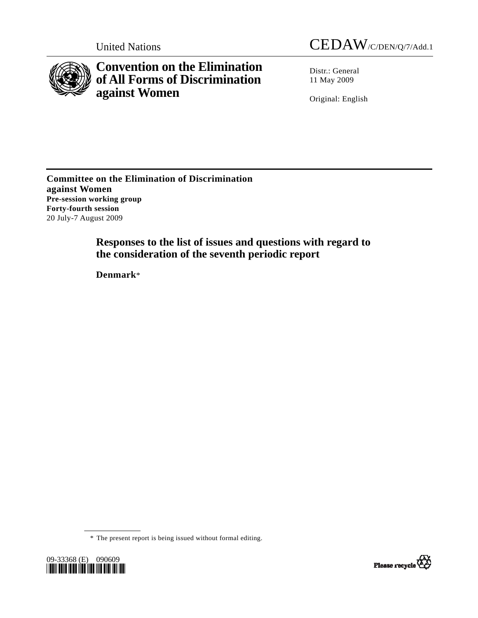



**Convention on the Elimination of All Forms of Discrimination against Women** 

Distr.: General 11 May 2009

Original: English

**Committee on the Elimination of Discrimination against Women Pre-session working group Forty-fourth session**  20 July-7 August 2009

> **Responses to the list of issues and questions with regard to the consideration of the seventh periodic report**

 **Denmark**\*

\* The present report is being issued without formal editing.



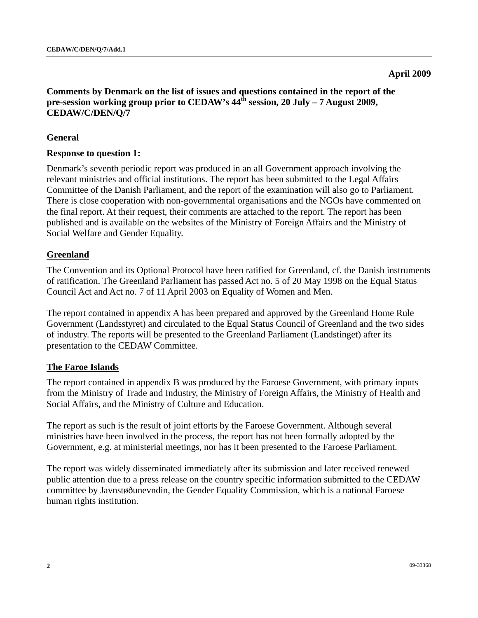#### **April 2009**

## **Comments by Denmark on the list of issues and questions contained in the report of the pre-session working group prior to CEDAW's 44th session, 20 July – 7 August 2009, CEDAW/C/DEN/Q/7**

## **General**

#### **Response to question 1:**

Denmark's seventh periodic report was produced in an all Government approach involving the relevant ministries and official institutions. The report has been submitted to the Legal Affairs Committee of the Danish Parliament, and the report of the examination will also go to Parliament. There is close cooperation with non-governmental organisations and the NGOs have commented on the final report. At their request, their comments are attached to the report. The report has been published and is available on the websites of the Ministry of Foreign Affairs and the Ministry of Social Welfare and Gender Equality.

#### **Greenland**

The Convention and its Optional Protocol have been ratified for Greenland, cf. the Danish instruments of ratification. The Greenland Parliament has passed Act no. 5 of 20 May 1998 on the Equal Status Council Act and Act no. 7 of 11 April 2003 on Equality of Women and Men.

The report contained in appendix A has been prepared and approved by the Greenland Home Rule Government (Landsstyret) and circulated to the Equal Status Council of Greenland and the two sides of industry. The reports will be presented to the Greenland Parliament (Landstinget) after its presentation to the CEDAW Committee.

#### **The Faroe Islands**

The report contained in appendix B was produced by the Faroese Government, with primary inputs from the Ministry of Trade and Industry, the Ministry of Foreign Affairs, the Ministry of Health and Social Affairs, and the Ministry of Culture and Education.

The report as such is the result of joint efforts by the Faroese Government. Although several ministries have been involved in the process, the report has not been formally adopted by the Government, e.g. at ministerial meetings, nor has it been presented to the Faroese Parliament.

The report was widely disseminated immediately after its submission and later received renewed public attention due to a press release on the country specific information submitted to the CEDAW committee by Javnstøðunevndin, the Gender Equality Commission, which is a national Faroese human rights institution.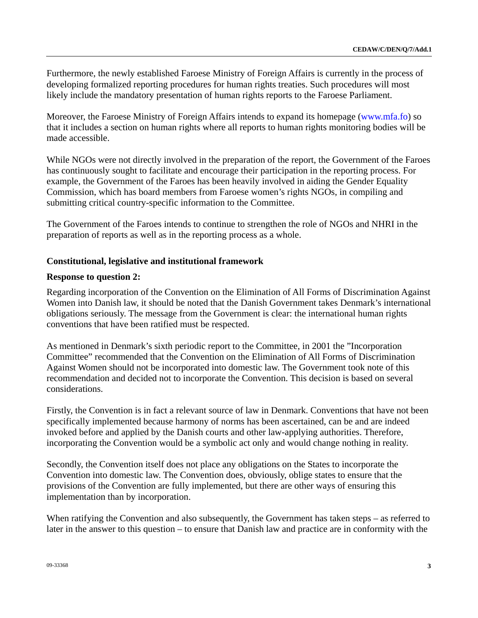Furthermore, the newly established Faroese Ministry of Foreign Affairs is currently in the process of developing formalized reporting procedures for human rights treaties. Such procedures will most likely include the mandatory presentation of human rights reports to the Faroese Parliament.

Moreover, the Faroese Ministry of Foreign Affairs intends to expand its homepage ([www.mfa.fo](http://www.mfa.fo/)) so that it includes a section on human rights where all reports to human rights monitoring bodies will be made accessible.

While NGOs were not directly involved in the preparation of the report, the Government of the Faroes has continuously sought to facilitate and encourage their participation in the reporting process. For example, the Government of the Faroes has been heavily involved in aiding the Gender Equality Commission, which has board members from Faroese women's rights NGOs, in compiling and submitting critical country-specific information to the Committee.

The Government of the Faroes intends to continue to strengthen the role of NGOs and NHRI in the preparation of reports as well as in the reporting process as a whole.

# **Constitutional, legislative and institutional framework**

## **Response to question 2:**

Regarding incorporation of the Convention on the Elimination of All Forms of Discrimination Against Women into Danish law, it should be noted that the Danish Government takes Denmark's international obligations seriously. The message from the Government is clear: the international human rights conventions that have been ratified must be respected.

As mentioned in Denmark's sixth periodic report to the Committee, in 2001 the "Incorporation Committee" recommended that the Convention on the Elimination of All Forms of Discrimination Against Women should not be incorporated into domestic law. The Government took note of this recommendation and decided not to incorporate the Convention. This decision is based on several considerations.

Firstly, the Convention is in fact a relevant source of law in Denmark. Conventions that have not been specifically implemented because harmony of norms has been ascertained, can be and are indeed invoked before and applied by the Danish courts and other law-applying authorities. Therefore, incorporating the Convention would be a symbolic act only and would change nothing in reality.

Secondly, the Convention itself does not place any obligations on the States to incorporate the Convention into domestic law. The Convention does, obviously, oblige states to ensure that the provisions of the Convention are fully implemented, but there are other ways of ensuring this implementation than by incorporation.

When ratifying the Convention and also subsequently, the Government has taken steps – as referred to later in the answer to this question – to ensure that Danish law and practice are in conformity with the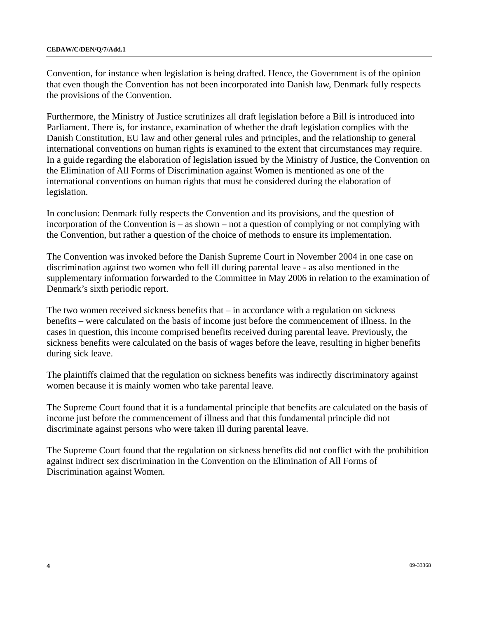Convention, for instance when legislation is being drafted. Hence, the Government is of the opinion that even though the Convention has not been incorporated into Danish law, Denmark fully respects the provisions of the Convention.

Furthermore, the Ministry of Justice scrutinizes all draft legislation before a Bill is introduced into Parliament. There is, for instance, examination of whether the draft legislation complies with the Danish Constitution, EU law and other general rules and principles, and the relationship to general international conventions on human rights is examined to the extent that circumstances may require. In a guide regarding the elaboration of legislation issued by the Ministry of Justice, the Convention on the Elimination of All Forms of Discrimination against Women is mentioned as one of the international conventions on human rights that must be considered during the elaboration of legislation.

In conclusion: Denmark fully respects the Convention and its provisions, and the question of incorporation of the Convention is – as shown – not a question of complying or not complying with the Convention, but rather a question of the choice of methods to ensure its implementation.

The Convention was invoked before the Danish Supreme Court in November 2004 in one case on discrimination against two women who fell ill during parental leave - as also mentioned in the supplementary information forwarded to the Committee in May 2006 in relation to the examination of Denmark's sixth periodic report.

The two women received sickness benefits that – in accordance with a regulation on sickness benefits – were calculated on the basis of income just before the commencement of illness. In the cases in question, this income comprised benefits received during parental leave. Previously, the sickness benefits were calculated on the basis of wages before the leave, resulting in higher benefits during sick leave.

The plaintiffs claimed that the regulation on sickness benefits was indirectly discriminatory against women because it is mainly women who take parental leave.

The Supreme Court found that it is a fundamental principle that benefits are calculated on the basis of income just before the commencement of illness and that this fundamental principle did not discriminate against persons who were taken ill during parental leave.

The Supreme Court found that the regulation on sickness benefits did not conflict with the prohibition against indirect sex discrimination in the Convention on the Elimination of All Forms of Discrimination against Women.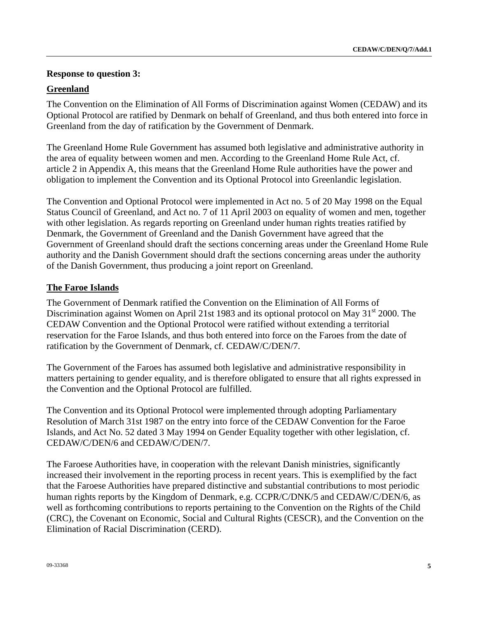## **Response to question 3:**

## **Greenland**

The Convention on the Elimination of All Forms of Discrimination against Women (CEDAW) and its Optional Protocol are ratified by Denmark on behalf of Greenland, and thus both entered into force in Greenland from the day of ratification by the Government of Denmark.

The Greenland Home Rule Government has assumed both legislative and administrative authority in the area of equality between women and men. According to the Greenland Home Rule Act, cf. article 2 in Appendix A, this means that the Greenland Home Rule authorities have the power and obligation to implement the Convention and its Optional Protocol into Greenlandic legislation.

The Convention and Optional Protocol were implemented in Act no. 5 of 20 May 1998 on the Equal Status Council of Greenland, and Act no. 7 of 11 April 2003 on equality of women and men, together with other legislation. As regards reporting on Greenland under human rights treaties ratified by Denmark, the Government of Greenland and the Danish Government have agreed that the Government of Greenland should draft the sections concerning areas under the Greenland Home Rule authority and the Danish Government should draft the sections concerning areas under the authority of the Danish Government, thus producing a joint report on Greenland.

## **The Faroe Islands**

The Government of Denmark ratified the Convention on the Elimination of All Forms of Discrimination against Women on April 21st 1983 and its optional protocol on May 31<sup>st</sup> 2000. The CEDAW Convention and the Optional Protocol were ratified without extending a territorial reservation for the Faroe Islands, and thus both entered into force on the Faroes from the date of ratification by the Government of Denmark, cf. CEDAW/C/DEN/7.

The Government of the Faroes has assumed both legislative and administrative responsibility in matters pertaining to gender equality, and is therefore obligated to ensure that all rights expressed in the Convention and the Optional Protocol are fulfilled.

The Convention and its Optional Protocol were implemented through adopting Parliamentary Resolution of March 31st 1987 on the entry into force of the CEDAW Convention for the Faroe Islands, and Act No. 52 dated 3 May 1994 on Gender Equality together with other legislation, cf. CEDAW/C/DEN/6 and CEDAW/C/DEN/7.

The Faroese Authorities have, in cooperation with the relevant Danish ministries, significantly increased their involvement in the reporting process in recent years. This is exemplified by the fact that the Faroese Authorities have prepared distinctive and substantial contributions to most periodic human rights reports by the Kingdom of Denmark, e.g. CCPR/C/DNK/5 and CEDAW/C/DEN/6, as well as forthcoming contributions to reports pertaining to the Convention on the Rights of the Child (CRC), the Covenant on Economic, Social and Cultural Rights (CESCR), and the Convention on the Elimination of Racial Discrimination (CERD).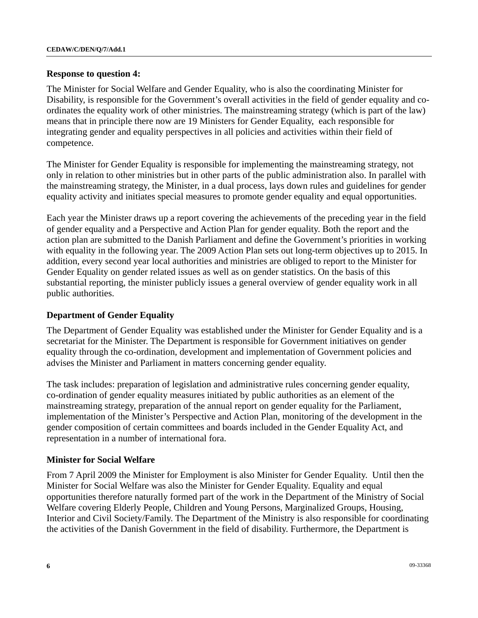#### **Response to question 4:**

The Minister for Social Welfare and Gender Equality, who is also the coordinating Minister for Disability, is responsible for the Government's overall activities in the field of gender equality and coordinates the equality work of other ministries. The mainstreaming strategy (which is part of the law) means that in principle there now are 19 Ministers for Gender Equality, each responsible for integrating gender and equality perspectives in all policies and activities within their field of competence.

The Minister for Gender Equality is responsible for implementing the mainstreaming strategy, not only in relation to other ministries but in other parts of the public administration also. In parallel with the mainstreaming strategy, the Minister, in a dual process, lays down rules and guidelines for gender equality activity and initiates special measures to promote gender equality and equal opportunities.

Each year the Minister draws up a report covering the achievements of the preceding year in the field of gender equality and a Perspective and Action Plan for gender equality. Both the report and the action plan are submitted to the Danish Parliament and define the Government's priorities in working with equality in the following year. The 2009 Action Plan sets out long-term objectives up to 2015. In addition, every second year local authorities and ministries are obliged to report to the Minister for Gender Equality on gender related issues as well as on gender statistics. On the basis of this substantial reporting, the minister publicly issues a general overview of gender equality work in all public authorities.

## **Department of Gender Equality**

The Department of Gender Equality was established under the Minister for Gender Equality and is a secretariat for the Minister. The Department is responsible for Government initiatives on gender equality through the co-ordination, development and implementation of Government policies and advises the Minister and Parliament in matters concerning gender equality.

The task includes: preparation of legislation and administrative rules concerning gender equality, co-ordination of gender equality measures initiated by public authorities as an element of the mainstreaming strategy, preparation of the annual report on gender equality for the Parliament, implementation of the Minister's Perspective and Action Plan, monitoring of the development in the gender composition of certain committees and boards included in the Gender Equality Act, and representation in a number of international fora.

#### **Minister for Social Welfare**

From 7 April 2009 the Minister for Employment is also Minister for Gender Equality. Until then the Minister for Social Welfare was also the Minister for Gender Equality. Equality and equal opportunities therefore naturally formed part of the work in the Department of the Ministry of Social Welfare covering Elderly People, Children and Young Persons, Marginalized Groups, Housing, Interior and Civil Society/Family. The Department of the Ministry is also responsible for coordinating the activities of the Danish Government in the field of disability. Furthermore, the Department is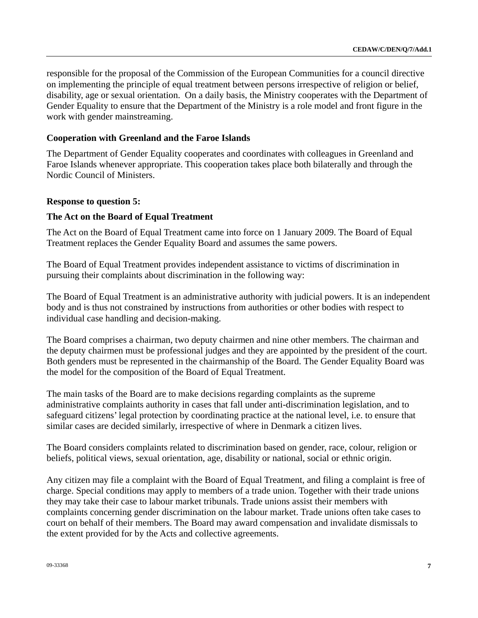responsible for the proposal of the Commission of the European Communities for a council directive on implementing the principle of equal treatment between persons irrespective of religion or belief, disability, age or sexual orientation. On a daily basis, the Ministry cooperates with the Department of Gender Equality to ensure that the Department of the Ministry is a role model and front figure in the work with gender mainstreaming.

## **Cooperation with Greenland and the Faroe Islands**

The Department of Gender Equality cooperates and coordinates with colleagues in Greenland and Faroe Islands whenever appropriate. This cooperation takes place both bilaterally and through the Nordic Council of Ministers.

#### **Response to question 5:**

## **The Act on the Board of Equal Treatment**

The Act on the Board of Equal Treatment came into force on 1 January 2009. The Board of Equal Treatment replaces the Gender Equality Board and assumes the same powers.

The Board of Equal Treatment provides independent assistance to victims of discrimination in pursuing their complaints about discrimination in the following way:

The Board of Equal Treatment is an administrative authority with judicial powers. It is an independent body and is thus not constrained by instructions from authorities or other bodies with respect to individual case handling and decision-making.

The Board comprises a chairman, two deputy chairmen and nine other members. The chairman and the deputy chairmen must be professional judges and they are appointed by the president of the court. Both genders must be represented in the chairmanship of the Board. The Gender Equality Board was the model for the composition of the Board of Equal Treatment.

The main tasks of the Board are to make decisions regarding complaints as the supreme administrative complaints authority in cases that fall under anti-discrimination legislation, and to safeguard citizens' legal protection by coordinating practice at the national level, i.e. to ensure that similar cases are decided similarly, irrespective of where in Denmark a citizen lives.

The Board considers complaints related to discrimination based on gender, race, colour, religion or beliefs, political views, sexual orientation, age, disability or national, social or ethnic origin.

Any citizen may file a complaint with the Board of Equal Treatment, and filing a complaint is free of charge. Special conditions may apply to members of a trade union. Together with their trade unions they may take their case to labour market tribunals. Trade unions assist their members with complaints concerning gender discrimination on the labour market. Trade unions often take cases to court on behalf of their members. The Board may award compensation and invalidate dismissals to the extent provided for by the Acts and collective agreements.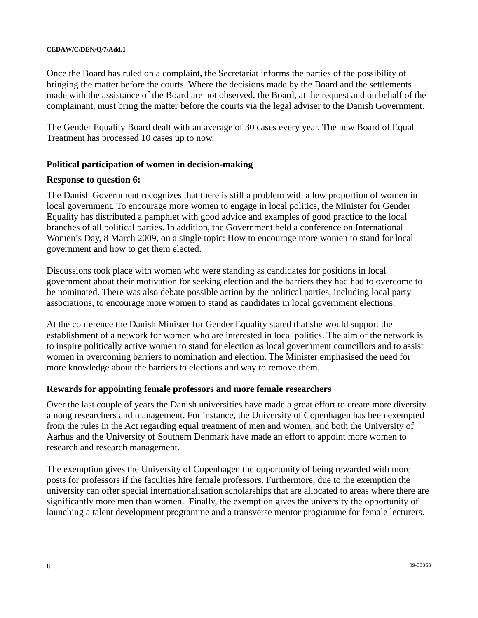Once the Board has ruled on a complaint, the Secretariat informs the parties of the possibility of bringing the matter before the courts. Where the decisions made by the Board and the settlements made with the assistance of the Board are not observed, the Board, at the request and on behalf of the complainant, must bring the matter before the courts via the legal adviser to the Danish Government.

The Gender Equality Board dealt with an average of 30 cases every year. The new Board of Equal Treatment has processed 10 cases up to now.

#### **Political participation of women in decision-making**

#### **Response to question 6:**

The Danish Government recognizes that there is still a problem with a low proportion of women in local government. To encourage more women to engage in local politics, the Minister for Gender Equality has distributed a pamphlet with good advice and examples of good practice to the local branches of all political parties. In addition, the Government held a conference on International Women's Day, 8 March 2009, on a single topic: How to encourage more women to stand for local government and how to get them elected.

Discussions took place with women who were standing as candidates for positions in local government about their motivation for seeking election and the barriers they had had to overcome to be nominated. There was also debate possible action by the political parties, including local party associations, to encourage more women to stand as candidates in local government elections.

At the conference the Danish Minister for Gender Equality stated that she would support the establishment of a network for women who are interested in local politics. The aim of the network is to inspire politically active women to stand for election as local government councillors and to assist women in overcoming barriers to nomination and election. The Minister emphasised the need for more knowledge about the barriers to elections and way to remove them.

#### **Rewards for appointing female professors and more female researchers**

Over the last couple of years the Danish universities have made a great effort to create more diversity among researchers and management. For instance, the University of Copenhagen has been exempted from the rules in the Act regarding equal treatment of men and women, and both the University of Aarhus and the University of Southern Denmark have made an effort to appoint more women to research and research management.

The exemption gives the University of Copenhagen the opportunity of being rewarded with more posts for professors if the faculties hire female professors. Furthermore, due to the exemption the university can offer special internationalisation scholarships that are allocated to areas where there are significantly more men than women. Finally, the exemption gives the university the opportunity of launching a talent development programme and a transverse mentor programme for female lecturers.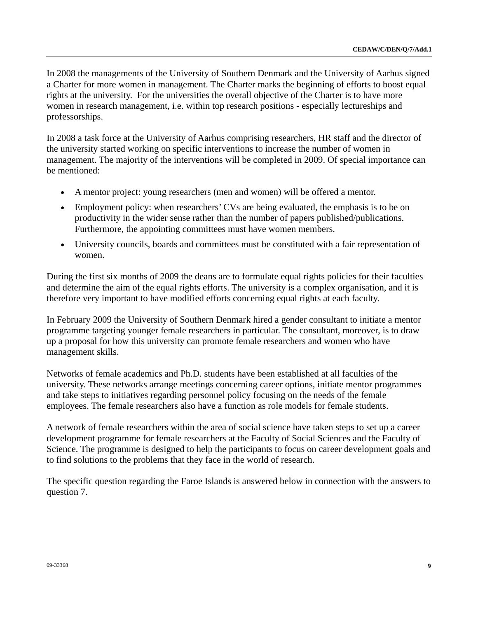In 2008 the managements of the University of Southern Denmark and the University of Aarhus signed a Charter for more women in management. The Charter marks the beginning of efforts to boost equal rights at the university. For the universities the overall objective of the Charter is to have more women in research management, i.e. within top research positions - especially lectureships and professorships.

In 2008 a task force at the University of Aarhus comprising researchers, HR staff and the director of the university started working on specific interventions to increase the number of women in management. The majority of the interventions will be completed in 2009. Of special importance can be mentioned:

- A mentor project: young researchers (men and women) will be offered a mentor.
- Employment policy: when researchers' CVs are being evaluated, the emphasis is to be on productivity in the wider sense rather than the number of papers published/publications. Furthermore, the appointing committees must have women members.
- University councils, boards and committees must be constituted with a fair representation of women.

During the first six months of 2009 the deans are to formulate equal rights policies for their faculties and determine the aim of the equal rights efforts. The university is a complex organisation, and it is therefore very important to have modified efforts concerning equal rights at each faculty.

In February 2009 the University of Southern Denmark hired a gender consultant to initiate a mentor programme targeting younger female researchers in particular. The consultant, moreover, is to draw up a proposal for how this university can promote female researchers and women who have management skills.

Networks of female academics and Ph.D. students have been established at all faculties of the university. These networks arrange meetings concerning career options, initiate mentor programmes and take steps to initiatives regarding personnel policy focusing on the needs of the female employees. The female researchers also have a function as role models for female students.

A network of female researchers within the area of social science have taken steps to set up a career development programme for female researchers at the Faculty of Social Sciences and the Faculty of Science. The programme is designed to help the participants to focus on career development goals and to find solutions to the problems that they face in the world of research.

The specific question regarding the Faroe Islands is answered below in connection with the answers to question 7.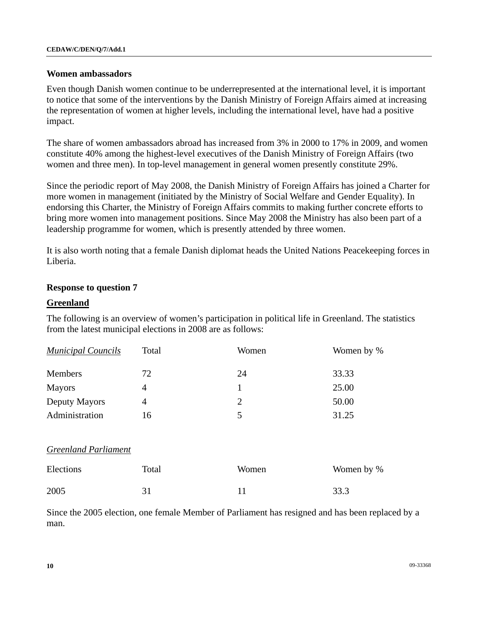#### **Women ambassadors**

Even though Danish women continue to be underrepresented at the international level, it is important to notice that some of the interventions by the Danish Ministry of Foreign Affairs aimed at increasing the representation of women at higher levels, including the international level, have had a positive impact.

The share of women ambassadors abroad has increased from 3% in 2000 to 17% in 2009, and women constitute 40% among the highest-level executives of the Danish Ministry of Foreign Affairs (two women and three men). In top-level management in general women presently constitute 29%.

Since the periodic report of May 2008, the Danish Ministry of Foreign Affairs has joined a Charter for more women in management (initiated by the Ministry of Social Welfare and Gender Equality). In endorsing this Charter, the Ministry of Foreign Affairs commits to making further concrete efforts to bring more women into management positions. Since May 2008 the Ministry has also been part of a leadership programme for women, which is presently attended by three women.

It is also worth noting that a female Danish diplomat heads the United Nations Peacekeeping forces in Liberia.

## **Response to question 7**

#### **Greenland**

The following is an overview of women's participation in political life in Greenland. The statistics from the latest municipal elections in 2008 are as follows:

| <b>Municipal Councils</b> | Total | Women | Women by % |
|---------------------------|-------|-------|------------|
| Members                   | 72    | 24    | 33.33      |
| <b>Mayors</b>             |       |       | 25.00      |
| Deputy Mayors             | 4     | 2     | 50.00      |
| Administration            | 16    | 5     | 31.25      |

#### *Greenland Parliament*

| Elections | Total | Women | Women by % |
|-----------|-------|-------|------------|
| 2005      |       |       | 33.3       |

Since the 2005 election, one female Member of Parliament has resigned and has been replaced by a man.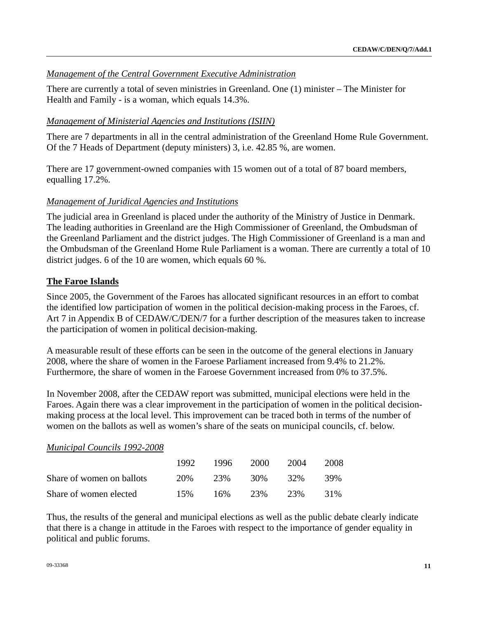## *Management of the Central Government Executive Administration*

There are currently a total of seven ministries in Greenland. One (1) minister – The Minister for Health and Family - is a woman, which equals 14.3%.

## *Management of Ministerial Agencies and Institutions (ISIIN)*

There are 7 departments in all in the central administration of the Greenland Home Rule Government. Of the 7 Heads of Department (deputy ministers) 3, i.e. 42.85 %, are women.

There are 17 government-owned companies with 15 women out of a total of 87 board members, equalling 17.2%.

## *Management of Juridical Agencies and Institutions*

The judicial area in Greenland is placed under the authority of the Ministry of Justice in Denmark. The leading authorities in Greenland are the High Commissioner of Greenland, the Ombudsman of the Greenland Parliament and the district judges. The High Commissioner of Greenland is a man and the Ombudsman of the Greenland Home Rule Parliament is a woman. There are currently a total of 10 district judges. 6 of the 10 are women, which equals 60 %.

## **The Faroe Islands**

Since 2005, the Government of the Faroes has allocated significant resources in an effort to combat the identified low participation of women in the political decision-making process in the Faroes, cf. Art 7 in Appendix B of CEDAW/C/DEN/7 for a further description of the measures taken to increase the participation of women in political decision-making.

A measurable result of these efforts can be seen in the outcome of the general elections in January 2008, where the share of women in the Faroese Parliament increased from 9.4% to 21.2%. Furthermore, the share of women in the Faroese Government increased from 0% to 37.5%.

In November 2008, after the CEDAW report was submitted, municipal elections were held in the Faroes. Again there was a clear improvement in the participation of women in the political decisionmaking process at the local level. This improvement can be traced both in terms of the number of women on the ballots as well as women's share of the seats on municipal councils, cf. below.

#### *Municipal Councils 1992-2008*

|                           | 1992. | 1996 | 2000 | 2004 | 2008 |
|---------------------------|-------|------|------|------|------|
| Share of women on ballots | 20%   | 23%  | 30%  | 32%  | 39%  |
| Share of women elected    | 15%   | 16%  | 23%  | 23%  | 31%  |

Thus, the results of the general and municipal elections as well as the public debate clearly indicate that there is a change in attitude in the Faroes with respect to the importance of gender equality in political and public forums.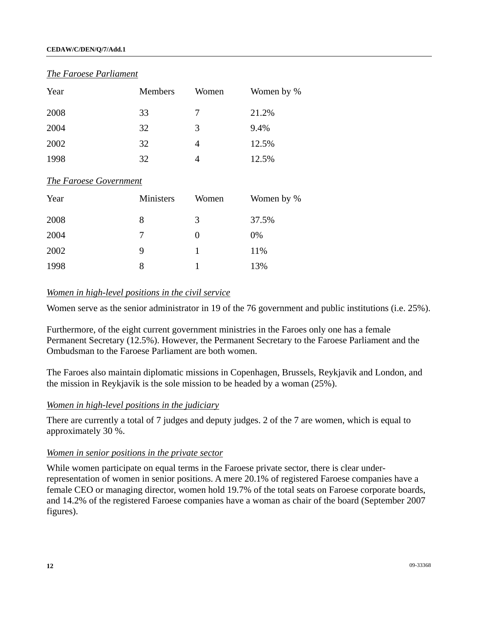#### **CEDAW/C/DEN/Q/7/Add.1**

#### *The Faroese Parliament*

| Year | <b>Members</b> | Women | Women by % |
|------|----------------|-------|------------|
| 2008 | 33             | 7     | 21.2%      |
| 2004 | 32             | 3     | 9.4%       |
| 2002 | 32             | 4     | 12.5%      |
| 1998 | 32             |       | 12.5%      |

#### *The Faroese Government*

| Year | Ministers | Women | Women by % |
|------|-----------|-------|------------|
| 2008 | 8         | 3     | 37.5%      |
| 2004 | 7         | 0     | 0%         |
| 2002 | 9         | 1     | 11%        |
| 1998 | 8         |       | 13%        |

#### *Women in high-level positions in the civil service*

Women serve as the senior administrator in 19 of the 76 government and public institutions (i.e. 25%).

Furthermore, of the eight current government ministries in the Faroes only one has a female Permanent Secretary (12.5%). However, the Permanent Secretary to the Faroese Parliament and the Ombudsman to the Faroese Parliament are both women.

The Faroes also maintain diplomatic missions in Copenhagen, Brussels, Reykjavik and London, and the mission in Reykjavik is the sole mission to be headed by a woman (25%).

#### *Women in high-level positions in the judiciary*

There are currently a total of 7 judges and deputy judges. 2 of the 7 are women, which is equal to approximately 30 %.

## *Women in senior positions in the private sector*

While women participate on equal terms in the Faroese private sector, there is clear underrepresentation of women in senior positions. A mere 20.1% of registered Faroese companies have a female CEO or managing director, women hold 19.7% of the total seats on Faroese corporate boards, and 14.2% of the registered Faroese companies have a woman as chair of the board (September 2007 figures).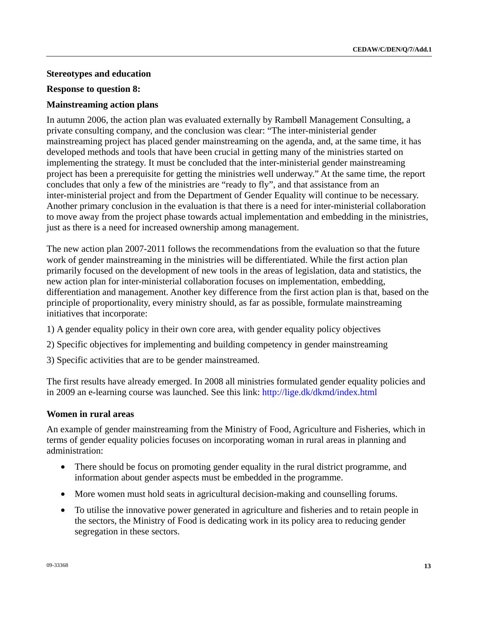## **Stereotypes and education**

## **Response to question 8:**

## **Mainstreaming action plans**

In autumn 2006, the action plan was evaluated externally by Rambøll Management Consulting, a private consulting company, and the conclusion was clear: "The inter-ministerial gender mainstreaming project has placed gender mainstreaming on the agenda, and, at the same time, it has developed methods and tools that have been crucial in getting many of the ministries started on implementing the strategy. It must be concluded that the inter-ministerial gender mainstreaming project has been a prerequisite for getting the ministries well underway." At the same time, the report concludes that only a few of the ministries are "ready to fly", and that assistance from an inter-ministerial project and from the Department of Gender Equality will continue to be necessary. Another primary conclusion in the evaluation is that there is a need for inter-ministerial collaboration to move away from the project phase towards actual implementation and embedding in the ministries, just as there is a need for increased ownership among management.

The new action plan 2007-2011 follows the recommendations from the evaluation so that the future work of gender mainstreaming in the ministries will be differentiated. While the first action plan primarily focused on the development of new tools in the areas of legislation, data and statistics, the new action plan for inter-ministerial collaboration focuses on implementation, embedding, differentiation and management. Another key difference from the first action plan is that, based on the principle of proportionality, every ministry should, as far as possible, formulate mainstreaming initiatives that incorporate:

- 1) A gender equality policy in their own core area, with gender equality policy objectives
- 2) Specific objectives for implementing and building competency in gender mainstreaming
- 3) Specific activities that are to be gender mainstreamed.

The first results have already emerged. In 2008 all ministries formulated gender equality policies and in 2009 an e-learning course was launched. See this link:<http://lige.dk/dkmd/index.html>

## **Women in rural areas**

An example of gender mainstreaming from the Ministry of Food, Agriculture and Fisheries, which in terms of gender equality policies focuses on incorporating woman in rural areas in planning and administration:

- There should be focus on promoting gender equality in the rural district programme, and information about gender aspects must be embedded in the programme.
- More women must hold seats in agricultural decision-making and counselling forums.
- To utilise the innovative power generated in agriculture and fisheries and to retain people in the sectors, the Ministry of Food is dedicating work in its policy area to reducing gender segregation in these sectors.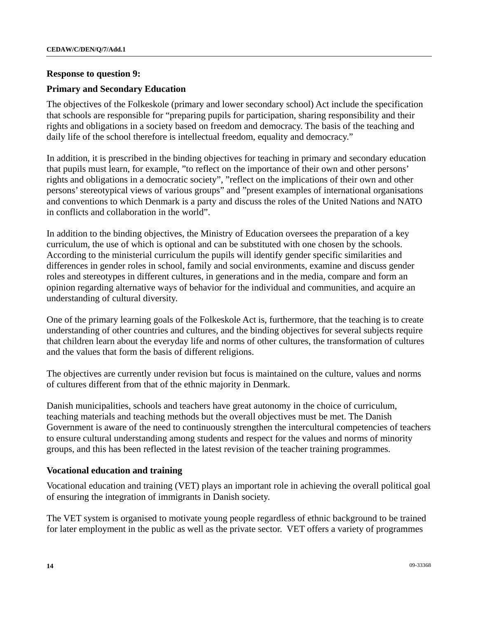#### **Response to question 9:**

### **Primary and Secondary Education**

The objectives of the Folkeskole (primary and lower secondary school) Act include the specification that schools are responsible for "preparing pupils for participation, sharing responsibility and their rights and obligations in a society based on freedom and democracy. The basis of the teaching and daily life of the school therefore is intellectual freedom, equality and democracy."

In addition, it is prescribed in the binding objectives for teaching in primary and secondary education that pupils must learn, for example, "to reflect on the importance of their own and other persons' rights and obligations in a democratic society", "reflect on the implications of their own and other persons' stereotypical views of various groups" and "present examples of international organisations and conventions to which Denmark is a party and discuss the roles of the United Nations and NATO in conflicts and collaboration in the world".

In addition to the binding objectives, the Ministry of Education oversees the preparation of a key curriculum, the use of which is optional and can be substituted with one chosen by the schools. According to the ministerial curriculum the pupils will identify gender specific similarities and differences in gender roles in school, family and social environments, examine and discuss gender roles and stereotypes in different cultures, in generations and in the media, compare and form an opinion regarding alternative ways of behavior for the individual and communities, and acquire an understanding of cultural diversity.

One of the primary learning goals of the Folkeskole Act is, furthermore, that the teaching is to create understanding of other countries and cultures, and the binding objectives for several subjects require that children learn about the everyday life and norms of other cultures, the transformation of cultures and the values that form the basis of different religions.

The objectives are currently under revision but focus is maintained on the culture, values and norms of cultures different from that of the ethnic majority in Denmark.

Danish municipalities, schools and teachers have great autonomy in the choice of curriculum, teaching materials and teaching methods but the overall objectives must be met. The Danish Government is aware of the need to continuously strengthen the intercultural competencies of teachers to ensure cultural understanding among students and respect for the values and norms of minority groups, and this has been reflected in the latest revision of the teacher training programmes.

#### **Vocational education and training**

Vocational education and training (VET) plays an important role in achieving the overall political goal of ensuring the integration of immigrants in Danish society.

The VET system is organised to motivate young people regardless of ethnic background to be trained for later employment in the public as well as the private sector. VET offers a variety of programmes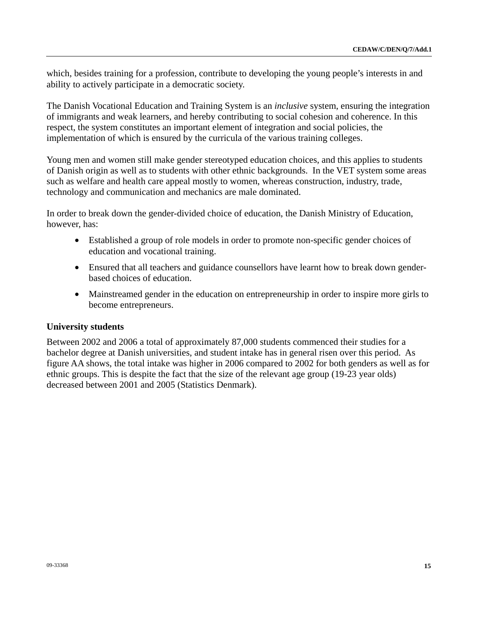which, besides training for a profession, contribute to developing the young people's interests in and ability to actively participate in a democratic society.

The Danish Vocational Education and Training System is an *inclusive* system, ensuring the integration of immigrants and weak learners, and hereby contributing to social cohesion and coherence. In this respect, the system constitutes an important element of integration and social policies, the implementation of which is ensured by the curricula of the various training colleges.

Young men and women still make gender stereotyped education choices, and this applies to students of Danish origin as well as to students with other ethnic backgrounds. In the VET system some areas such as welfare and health care appeal mostly to women, whereas construction, industry, trade, technology and communication and mechanics are male dominated.

In order to break down the gender-divided choice of education, the Danish Ministry of Education, however, has:

- Established a group of role models in order to promote non-specific gender choices of education and vocational training.
- Ensured that all teachers and guidance counsellors have learnt how to break down genderbased choices of education.
- Mainstreamed gender in the education on entrepreneurship in order to inspire more girls to become entrepreneurs.

## **University students**

Between 2002 and 2006 a total of approximately 87,000 students commenced their studies for a bachelor degree at Danish universities, and student intake has in general risen over this period. As figure AA shows, the total intake was higher in 2006 compared to 2002 for both genders as well as for ethnic groups. This is despite the fact that the size of the relevant age group (19-23 year olds) decreased between 2001 and 2005 (Statistics Denmark).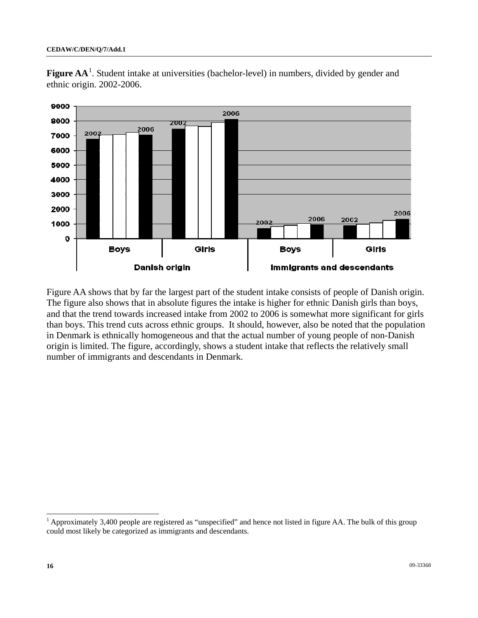

Figure AA<sup>[1](#page-15-0)</sup>. Student intake at universities (bachelor-level) in numbers, divided by gender and ethnic origin. 2002-2006.

Figure AA shows that by far the largest part of the student intake consists of people of Danish origin. The figure also shows that in absolute figures the intake is higher for ethnic Danish girls than boys, and that the trend towards increased intake from 2002 to 2006 is somewhat more significant for girls than boys. This trend cuts across ethnic groups. It should, however, also be noted that the population in Denmark is ethnically homogeneous and that the actual number of young people of non-Danish origin is limited. The figure, accordingly, shows a student intake that reflects the relatively small number of immigrants and descendants in Denmark.

 $\overline{a}$ 

<span id="page-15-0"></span><sup>&</sup>lt;sup>1</sup> Approximately 3,400 people are registered as "unspecified" and hence not listed in figure AA. The bulk of this group could most likely be categorized as immigrants and descendants.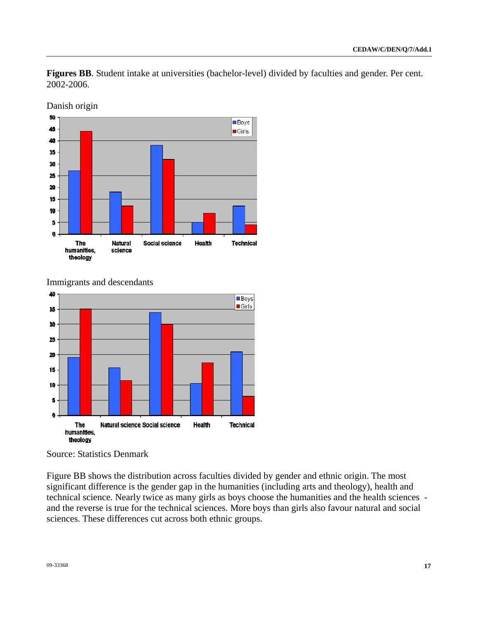**Figures BB**. Student intake at universities (bachelor-level) divided by faculties and gender. Per cent. 2002-2006.



Danish origin

## Immigrants and descendants



Source: Statistics Denmark

Figure BB shows the distribution across faculties divided by gender and ethnic origin. The most significant difference is the gender gap in the humanities (including arts and theology), health and technical science. Nearly twice as many girls as boys choose the humanities and the health sciences and the reverse is true for the technical sciences. More boys than girls also favour natural and social sciences. These differences cut across both ethnic groups.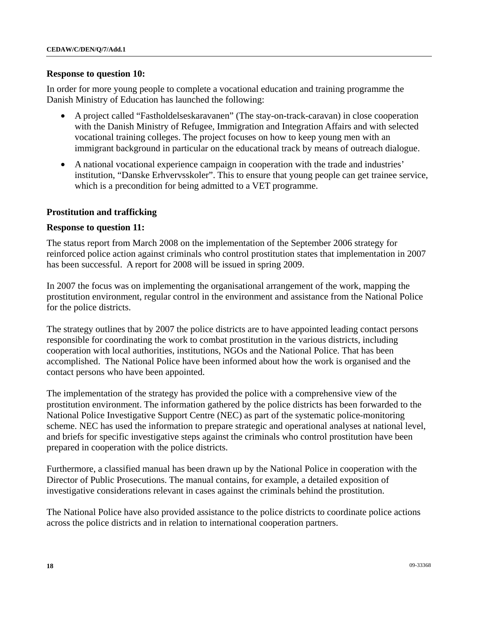#### **Response to question 10:**

In order for more young people to complete a vocational education and training programme the Danish Ministry of Education has launched the following:

- A project called "Fastholdelseskaravanen" (The stay-on-track-caravan) in close cooperation with the Danish Ministry of Refugee, Immigration and Integration Affairs and with selected vocational training colleges. The project focuses on how to keep young men with an immigrant background in particular on the educational track by means of outreach dialogue.
- A national vocational experience campaign in cooperation with the trade and industries' institution, "Danske Erhvervsskoler". This to ensure that young people can get trainee service, which is a precondition for being admitted to a VET programme.

#### **Prostitution and trafficking**

#### **Response to question 11:**

The status report from March 2008 on the implementation of the September 2006 strategy for reinforced police action against criminals who control prostitution states that implementation in 2007 has been successful. A report for 2008 will be issued in spring 2009.

In 2007 the focus was on implementing the organisational arrangement of the work, mapping the prostitution environment, regular control in the environment and assistance from the National Police for the police districts.

The strategy outlines that by 2007 the police districts are to have appointed leading contact persons responsible for coordinating the work to combat prostitution in the various districts, including cooperation with local authorities, institutions, NGOs and the National Police. That has been accomplished. The National Police have been informed about how the work is organised and the contact persons who have been appointed.

The implementation of the strategy has provided the police with a comprehensive view of the prostitution environment. The information gathered by the police districts has been forwarded to the National Police Investigative Support Centre (NEC) as part of the systematic police-monitoring scheme. NEC has used the information to prepare strategic and operational analyses at national level, and briefs for specific investigative steps against the criminals who control prostitution have been prepared in cooperation with the police districts.

Furthermore, a classified manual has been drawn up by the National Police in cooperation with the Director of Public Prosecutions. The manual contains, for example, a detailed exposition of investigative considerations relevant in cases against the criminals behind the prostitution.

The National Police have also provided assistance to the police districts to coordinate police actions across the police districts and in relation to international cooperation partners.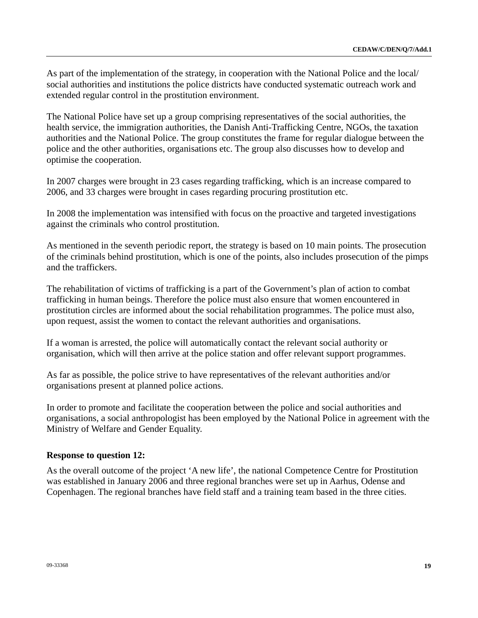As part of the implementation of the strategy, in cooperation with the National Police and the local/ social authorities and institutions the police districts have conducted systematic outreach work and extended regular control in the prostitution environment.

The National Police have set up a group comprising representatives of the social authorities, the health service, the immigration authorities, the Danish Anti-Trafficking Centre, NGOs, the taxation authorities and the National Police. The group constitutes the frame for regular dialogue between the police and the other authorities, organisations etc. The group also discusses how to develop and optimise the cooperation.

In 2007 charges were brought in 23 cases regarding trafficking, which is an increase compared to 2006, and 33 charges were brought in cases regarding procuring prostitution etc.

In 2008 the implementation was intensified with focus on the proactive and targeted investigations against the criminals who control prostitution.

As mentioned in the seventh periodic report, the strategy is based on 10 main points. The prosecution of the criminals behind prostitution, which is one of the points, also includes prosecution of the pimps and the traffickers.

The rehabilitation of victims of trafficking is a part of the Government's plan of action to combat trafficking in human beings. Therefore the police must also ensure that women encountered in prostitution circles are informed about the social rehabilitation programmes. The police must also, upon request, assist the women to contact the relevant authorities and organisations.

If a woman is arrested, the police will automatically contact the relevant social authority or organisation, which will then arrive at the police station and offer relevant support programmes.

As far as possible, the police strive to have representatives of the relevant authorities and/or organisations present at planned police actions.

In order to promote and facilitate the cooperation between the police and social authorities and organisations, a social anthropologist has been employed by the National Police in agreement with the Ministry of Welfare and Gender Equality.

## **Response to question 12:**

As the overall outcome of the project 'A new life', the national Competence Centre for Prostitution was established in January 2006 and three regional branches were set up in Aarhus, Odense and Copenhagen. The regional branches have field staff and a training team based in the three cities.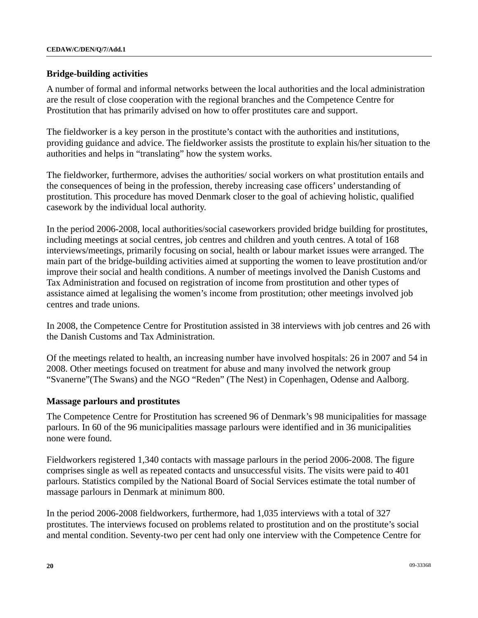### **Bridge-building activities**

A number of formal and informal networks between the local authorities and the local administration are the result of close cooperation with the regional branches and the Competence Centre for Prostitution that has primarily advised on how to offer prostitutes care and support.

The fieldworker is a key person in the prostitute's contact with the authorities and institutions, providing guidance and advice. The fieldworker assists the prostitute to explain his/her situation to the authorities and helps in "translating" how the system works.

The fieldworker, furthermore, advises the authorities/ social workers on what prostitution entails and the consequences of being in the profession, thereby increasing case officers' understanding of prostitution. This procedure has moved Denmark closer to the goal of achieving holistic, qualified casework by the individual local authority.

In the period 2006-2008, local authorities/social caseworkers provided bridge building for prostitutes, including meetings at social centres, job centres and children and youth centres. A total of 168 interviews/meetings, primarily focusing on social, health or labour market issues were arranged. The main part of the bridge-building activities aimed at supporting the women to leave prostitution and/or improve their social and health conditions. A number of meetings involved the Danish Customs and Tax Administration and focused on registration of income from prostitution and other types of assistance aimed at legalising the women's income from prostitution; other meetings involved job centres and trade unions.

In 2008, the Competence Centre for Prostitution assisted in 38 interviews with job centres and 26 with the Danish Customs and Tax Administration.

Of the meetings related to health, an increasing number have involved hospitals: 26 in 2007 and 54 in 2008. Other meetings focused on treatment for abuse and many involved the network group "Svanerne"(The Swans) and the NGO "Reden" (The Nest) in Copenhagen, Odense and Aalborg.

#### **Massage parlours and prostitutes**

The Competence Centre for Prostitution has screened 96 of Denmark's 98 municipalities for massage parlours. In 60 of the 96 municipalities massage parlours were identified and in 36 municipalities none were found.

Fieldworkers registered 1,340 contacts with massage parlours in the period 2006-2008. The figure comprises single as well as repeated contacts and unsuccessful visits. The visits were paid to 401 parlours. Statistics compiled by the National Board of Social Services estimate the total number of massage parlours in Denmark at minimum 800.

In the period 2006-2008 fieldworkers, furthermore, had 1,035 interviews with a total of 327 prostitutes. The interviews focused on problems related to prostitution and on the prostitute's social and mental condition. Seventy-two per cent had only one interview with the Competence Centre for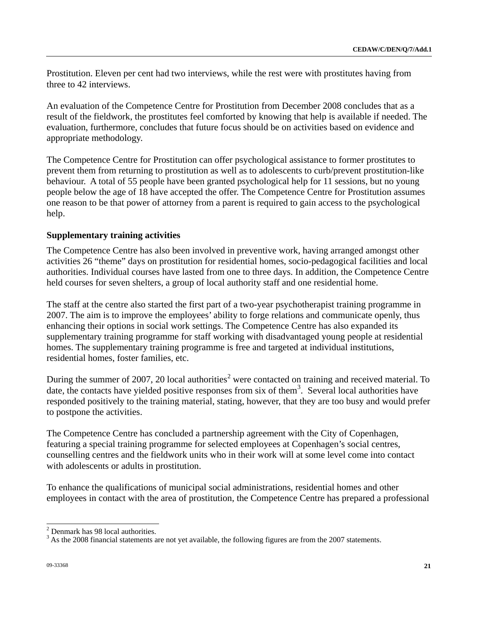Prostitution. Eleven per cent had two interviews, while the rest were with prostitutes having from three to 42 interviews.

An evaluation of the Competence Centre for Prostitution from December 2008 concludes that as a result of the fieldwork, the prostitutes feel comforted by knowing that help is available if needed. The evaluation, furthermore, concludes that future focus should be on activities based on evidence and appropriate methodology.

The Competence Centre for Prostitution can offer psychological assistance to former prostitutes to prevent them from returning to prostitution as well as to adolescents to curb/prevent prostitution-like behaviour. A total of 55 people have been granted psychological help for 11 sessions, but no young people below the age of 18 have accepted the offer. The Competence Centre for Prostitution assumes one reason to be that power of attorney from a parent is required to gain access to the psychological help.

## **Supplementary training activities**

The Competence Centre has also been involved in preventive work, having arranged amongst other activities 26 "theme" days on prostitution for residential homes, socio-pedagogical facilities and local authorities. Individual courses have lasted from one to three days. In addition, the Competence Centre held courses for seven shelters, a group of local authority staff and one residential home.

The staff at the centre also started the first part of a two-year psychotherapist training programme in 2007. The aim is to improve the employees' ability to forge relations and communicate openly, thus enhancing their options in social work settings. The Competence Centre has also expanded its supplementary training programme for staff working with disadvantaged young people at residential homes. The supplementary training programme is free and targeted at individual institutions, residential homes, foster families, etc.

During the summer of [2](#page-20-0)007, 20 local authorities<sup>2</sup> were contacted on training and received material. To date, the contacts have yielded positive responses from six of them<sup>[3](#page-20-1)</sup>. Several local authorities have responded positively to the training material, stating, however, that they are too busy and would prefer to postpone the activities.

The Competence Centre has concluded a partnership agreement with the City of Copenhagen, featuring a special training programme for selected employees at Copenhagen's social centres, counselling centres and the fieldwork units who in their work will at some level come into contact with adolescents or adults in prostitution.

To enhance the qualifications of municipal social administrations, residential homes and other employees in contact with the area of prostitution, the Competence Centre has prepared a professional

<sup>&</sup>lt;sup>2</sup> Denmark has 98 local authorities.

<span id="page-20-1"></span><span id="page-20-0"></span> $3$  As the 2008 financial statements are not yet available, the following figures are from the 2007 statements.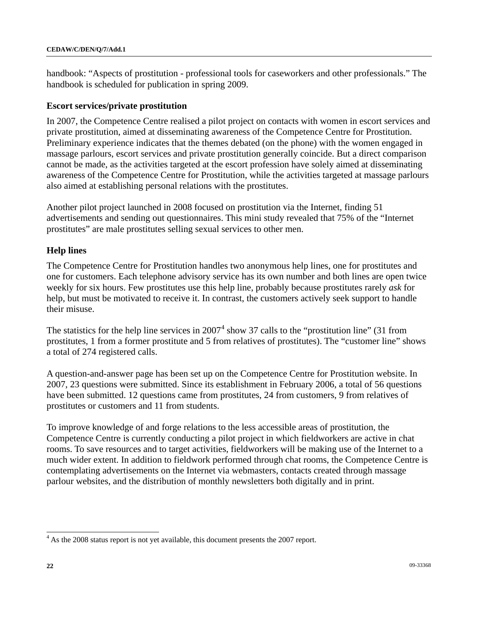handbook: "Aspects of prostitution - professional tools for caseworkers and other professionals." The handbook is scheduled for publication in spring 2009.

## **Escort services/private prostitution**

In 2007, the Competence Centre realised a pilot project on contacts with women in escort services and private prostitution, aimed at disseminating awareness of the Competence Centre for Prostitution. Preliminary experience indicates that the themes debated (on the phone) with the women engaged in massage parlours, escort services and private prostitution generally coincide. But a direct comparison cannot be made, as the activities targeted at the escort profession have solely aimed at disseminating awareness of the Competence Centre for Prostitution, while the activities targeted at massage parlours also aimed at establishing personal relations with the prostitutes.

Another pilot project launched in 2008 focused on prostitution via the Internet, finding 51 advertisements and sending out questionnaires. This mini study revealed that 75% of the "Internet prostitutes" are male prostitutes selling sexual services to other men.

## **Help lines**

The Competence Centre for Prostitution handles two anonymous help lines, one for prostitutes and one for customers. Each telephone advisory service has its own number and both lines are open twice weekly for six hours. Few prostitutes use this help line, probably because prostitutes rarely *ask* for help, but must be motivated to receive it. In contrast, the customers actively seek support to handle their misuse.

The statistics for the help line services in  $2007<sup>4</sup>$  $2007<sup>4</sup>$  $2007<sup>4</sup>$  show 37 calls to the "prostitution line" (31 from prostitutes, 1 from a former prostitute and 5 from relatives of prostitutes). The "customer line" shows a total of 274 registered calls.

A question-and-answer page has been set up on the Competence Centre for Prostitution website. In 2007, 23 questions were submitted. Since its establishment in February 2006, a total of 56 questions have been submitted. 12 questions came from prostitutes, 24 from customers, 9 from relatives of prostitutes or customers and 11 from students.

To improve knowledge of and forge relations to the less accessible areas of prostitution, the Competence Centre is currently conducting a pilot project in which fieldworkers are active in chat rooms. To save resources and to target activities, fieldworkers will be making use of the Internet to a much wider extent. In addition to fieldwork performed through chat rooms, the Competence Centre is contemplating advertisements on the Internet via webmasters, contacts created through massage parlour websites, and the distribution of monthly newsletters both digitally and in print.

<span id="page-21-0"></span><sup>&</sup>lt;sup>4</sup> As the 2008 status report is not yet available, this document presents the 2007 report.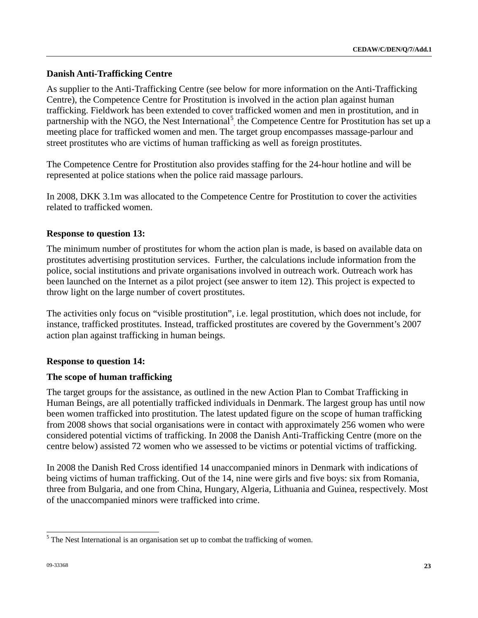# **Danish Anti-Trafficking Centre**

As supplier to the Anti-Trafficking Centre (see below for more information on the Anti-Trafficking Centre), the Competence Centre for Prostitution is involved in the action plan against human trafficking. Fieldwork has been extended to cover trafficked women and men in prostitution, and in partnership with the NGO, the Nest International<sup>[5](#page-22-0)</sup>, the Competence Centre for Prostitution has set up a meeting place for trafficked women and men. The target group encompasses massage-parlour and street prostitutes who are victims of human trafficking as well as foreign prostitutes.

The Competence Centre for Prostitution also provides staffing for the 24-hour hotline and will be represented at police stations when the police raid massage parlours.

In 2008, DKK 3.1m was allocated to the Competence Centre for Prostitution to cover the activities related to trafficked women.

# **Response to question 13:**

The minimum number of prostitutes for whom the action plan is made, is based on available data on prostitutes advertising prostitution services. Further, the calculations include information from the police, social institutions and private organisations involved in outreach work. Outreach work has been launched on the Internet as a pilot project (see answer to item 12). This project is expected to throw light on the large number of covert prostitutes.

The activities only focus on "visible prostitution", i.e. legal prostitution, which does not include, for instance, trafficked prostitutes. Instead, trafficked prostitutes are covered by the Government's 2007 action plan against trafficking in human beings.

# **Response to question 14:**

## **The scope of human trafficking**

The target groups for the assistance, as outlined in the new Action Plan to Combat Trafficking in Human Beings, are all potentially trafficked individuals in Denmark. The largest group has until now been women trafficked into prostitution. The latest updated figure on the scope of human trafficking from 2008 shows that social organisations were in contact with approximately 256 women who were considered potential victims of trafficking. In 2008 the Danish Anti-Trafficking Centre (more on the centre below) assisted 72 women who we assessed to be victims or potential victims of trafficking.

In 2008 the Danish Red Cross identified 14 unaccompanied minors in Denmark with indications of being victims of human trafficking. Out of the 14, nine were girls and five boys: six from Romania, three from Bulgaria, and one from China, Hungary, Algeria, Lithuania and Guinea, respectively. Most of the unaccompanied minors were trafficked into crime.

<span id="page-22-0"></span><sup>&</sup>lt;sup>5</sup> The Nest International is an organisation set up to combat the trafficking of women.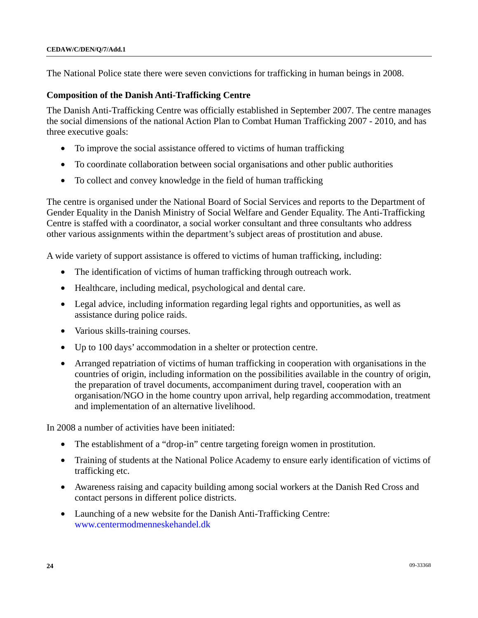The National Police state there were seven convictions for trafficking in human beings in 2008.

#### **Composition of the Danish Anti-Trafficking Centre**

The Danish Anti-Trafficking Centre was officially established in September 2007. The centre manages the social dimensions of the national Action Plan to Combat Human Trafficking 2007 - 2010, and has three executive goals:

- To improve the social assistance offered to victims of human trafficking
- To coordinate collaboration between social organisations and other public authorities
- To collect and convey knowledge in the field of human trafficking

The centre is organised under the National Board of Social Services and reports to the Department of Gender Equality in the Danish Ministry of Social Welfare and Gender Equality. The Anti-Trafficking Centre is staffed with a coordinator, a social worker consultant and three consultants who address other various assignments within the department's subject areas of prostitution and abuse.

A wide variety of support assistance is offered to victims of human trafficking, including:

- The identification of victims of human trafficking through outreach work.
- Healthcare, including medical, psychological and dental care.
- Legal advice, including information regarding legal rights and opportunities, as well as assistance during police raids.
- Various skills-training courses.
- Up to 100 days' accommodation in a shelter or protection centre.
- Arranged repatriation of victims of human trafficking in cooperation with organisations in the countries of origin, including information on the possibilities available in the country of origin, the preparation of travel documents, accompaniment during travel, cooperation with an organisation/NGO in the home country upon arrival, help regarding accommodation, treatment and implementation of an alternative livelihood.

In 2008 a number of activities have been initiated:

- The establishment of a "drop-in" centre targeting foreign women in prostitution.
- Training of students at the National Police Academy to ensure early identification of victims of trafficking etc.
- Awareness raising and capacity building among social workers at the Danish Red Cross and contact persons in different police districts.
- Launching of a new website for the Danish Anti-Trafficking Centre: [www.centermodmenneskehandel.dk](http://www.centermodmenneskehandel.dk/)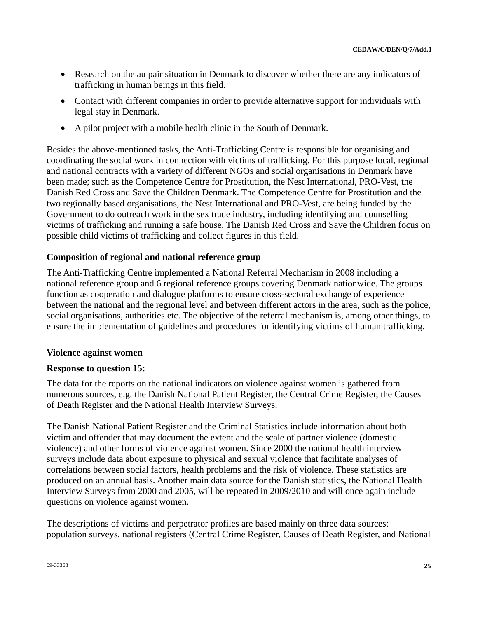- Research on the au pair situation in Denmark to discover whether there are any indicators of trafficking in human beings in this field.
- Contact with different companies in order to provide alternative support for individuals with legal stay in Denmark.
- A pilot project with a mobile health clinic in the South of Denmark.

Besides the above-mentioned tasks, the Anti-Trafficking Centre is responsible for organising and coordinating the social work in connection with victims of trafficking. For this purpose local, regional and national contracts with a variety of different NGOs and social organisations in Denmark have been made; such as the Competence Centre for Prostitution, the Nest International, PRO-Vest, the Danish Red Cross and Save the Children Denmark. The Competence Centre for Prostitution and the two regionally based organisations, the Nest International and PRO-Vest, are being funded by the Government to do outreach work in the sex trade industry, including identifying and counselling victims of trafficking and running a safe house. The Danish Red Cross and Save the Children focus on possible child victims of trafficking and collect figures in this field.

## **Composition of regional and national reference group**

The Anti-Trafficking Centre implemented a National Referral Mechanism in 2008 including a national reference group and 6 regional reference groups covering Denmark nationwide. The groups function as cooperation and dialogue platforms to ensure cross-sectoral exchange of experience between the national and the regional level and between different actors in the area, such as the police, social organisations, authorities etc. The objective of the referral mechanism is, among other things, to ensure the implementation of guidelines and procedures for identifying victims of human trafficking.

## **Violence against women**

## **Response to question 15:**

The data for the reports on the national indicators on violence against women is gathered from numerous sources, e.g. the Danish National Patient Register, the Central Crime Register, the Causes of Death Register and the National Health Interview Surveys.

The Danish National Patient Register and the Criminal Statistics include information about both victim and offender that may document the extent and the scale of partner violence (domestic violence) and other forms of violence against women. Since 2000 the national health interview surveys include data about exposure to physical and sexual violence that facilitate analyses of correlations between social factors, health problems and the risk of violence. These statistics are produced on an annual basis. Another main data source for the Danish statistics, the National Health Interview Surveys from 2000 and 2005, will be repeated in 2009/2010 and will once again include questions on violence against women.

The descriptions of victims and perpetrator profiles are based mainly on three data sources: population surveys, national registers (Central Crime Register, Causes of Death Register, and National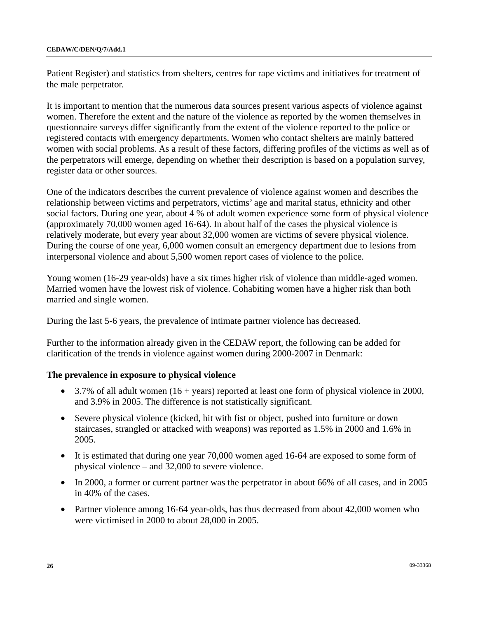Patient Register) and statistics from shelters, centres for rape victims and initiatives for treatment of the male perpetrator.

It is important to mention that the numerous data sources present various aspects of violence against women. Therefore the extent and the nature of the violence as reported by the women themselves in questionnaire surveys differ significantly from the extent of the violence reported to the police or registered contacts with emergency departments. Women who contact shelters are mainly battered women with social problems. As a result of these factors, differing profiles of the victims as well as of the perpetrators will emerge, depending on whether their description is based on a population survey, register data or other sources.

One of the indicators describes the current prevalence of violence against women and describes the relationship between victims and perpetrators, victims' age and marital status, ethnicity and other social factors. During one year, about 4 % of adult women experience some form of physical violence (approximately 70,000 women aged 16-64). In about half of the cases the physical violence is relatively moderate, but every year about 32,000 women are victims of severe physical violence. During the course of one year, 6,000 women consult an emergency department due to lesions from interpersonal violence and about 5,500 women report cases of violence to the police.

Young women (16-29 year-olds) have a six times higher risk of violence than middle-aged women. Married women have the lowest risk of violence. Cohabiting women have a higher risk than both married and single women.

During the last 5-6 years, the prevalence of intimate partner violence has decreased.

Further to the information already given in the CEDAW report, the following can be added for clarification of the trends in violence against women during 2000-2007 in Denmark:

## **The prevalence in exposure to physical violence**

- 3.7% of all adult women (16 + years) reported at least one form of physical violence in 2000, and 3.9% in 2005. The difference is not statistically significant.
- Severe physical violence (kicked, hit with fist or object, pushed into furniture or down staircases, strangled or attacked with weapons) was reported as 1.5% in 2000 and 1.6% in 2005.
- It is estimated that during one year 70,000 women aged 16-64 are exposed to some form of physical violence – and 32,000 to severe violence.
- In 2000, a former or current partner was the perpetrator in about 66% of all cases, and in 2005 in 40% of the cases.
- Partner violence among 16-64 year-olds, has thus decreased from about 42,000 women who were victimised in 2000 to about 28,000 in 2005.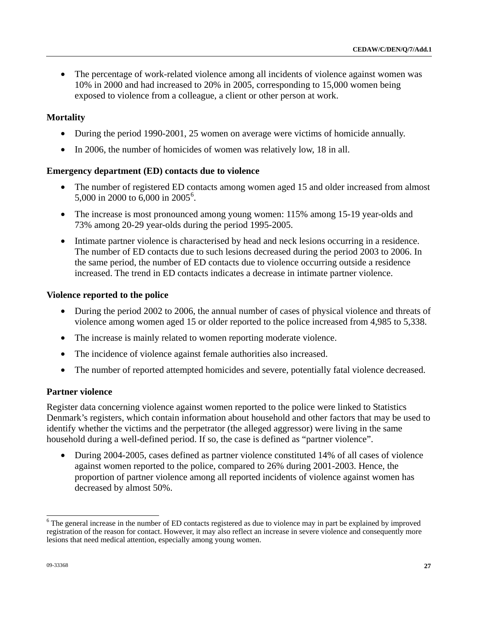• The percentage of work-related violence among all incidents of violence against women was 10% in 2000 and had increased to 20% in 2005, corresponding to 15,000 women being exposed to violence from a colleague, a client or other person at work.

## **Mortality**

- During the period 1990-2001, 25 women on average were victims of homicide annually.
- In 2006, the number of homicides of women was relatively low, 18 in all.

## **Emergency department (ED) contacts due to violence**

- The number of registered ED contacts among women aged 15 and older increased from almost 5,000 in 2000 to [6](#page-26-0),000 in 2005<sup>6</sup>.
- The increase is most pronounced among young women: 115% among 15-19 year-olds and 73% among 20-29 year-olds during the period 1995-2005.
- Intimate partner violence is characterised by head and neck lesions occurring in a residence. The number of ED contacts due to such lesions decreased during the period 2003 to 2006. In the same period, the number of ED contacts due to violence occurring outside a residence increased. The trend in ED contacts indicates a decrease in intimate partner violence.

## **Violence reported to the police**

- During the period 2002 to 2006, the annual number of cases of physical violence and threats of violence among women aged 15 or older reported to the police increased from 4,985 to 5,338.
- The increase is mainly related to women reporting moderate violence.
- The incidence of violence against female authorities also increased.
- The number of reported attempted homicides and severe, potentially fatal violence decreased.

#### **Partner violence**

Register data concerning violence against women reported to the police were linked to Statistics Denmark's registers, which contain information about household and other factors that may be used to identify whether the victims and the perpetrator (the alleged aggressor) were living in the same household during a well-defined period. If so, the case is defined as "partner violence".

• During 2004-2005, cases defined as partner violence constituted 14% of all cases of violence against women reported to the police, compared to 26% during 2001-2003. Hence, the proportion of partner violence among all reported incidents of violence against women has decreased by almost 50%.

<span id="page-26-0"></span><sup>&</sup>lt;sup>6</sup>The general increase in the number of ED contacts registered as due to violence may in part be explained by improved registration of the reason for contact. However, it may also reflect an increase in severe violence and consequently more lesions that need medical attention, especially among young women.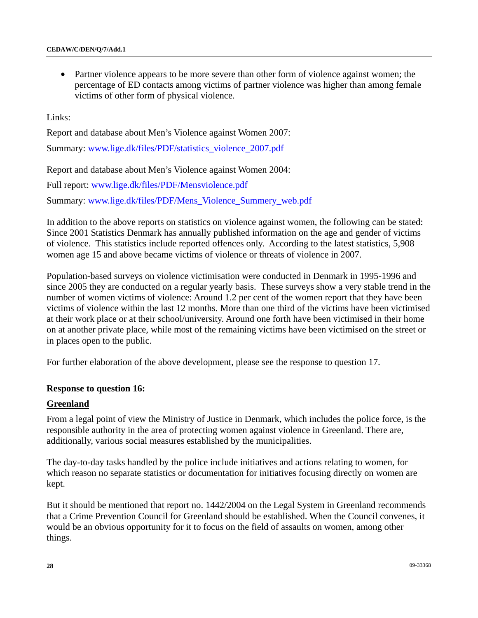• Partner violence appears to be more severe than other form of violence against women; the percentage of ED contacts among victims of partner violence was higher than among female victims of other form of physical violence.

Links:

Report and database about Men's Violence against Women 2007:

Summary: [www.lige.dk/files/PDF/statistics\\_violence\\_2007.pdf](http://www.lige.dk/files/PDF/statistics_violence_2007.pdf) 

Report and database about Men's Violence against Women 2004:

Full report: [www.lige.dk/files/PDF/Mensviolence.pdf](http://www.lige.dk/files/PDF/Mensviolence.pdf)

Summary: [www.lige.dk/files/PDF/Mens\\_Violence\\_Summery\\_web.pdf](http://www.lige.dk/files/PDF/Mens_Violence_Summery_web.pdf) 

In addition to the above reports on statistics on violence against women, the following can be stated: Since 2001 Statistics Denmark has annually published information on the age and gender of victims of violence. This statistics include reported offences only. According to the latest statistics, 5,908 women age 15 and above became victims of violence or threats of violence in 2007.

Population-based surveys on violence victimisation were conducted in Denmark in 1995-1996 and since 2005 they are conducted on a regular yearly basis. These surveys show a very stable trend in the number of women victims of violence: Around 1.2 per cent of the women report that they have been victims of violence within the last 12 months. More than one third of the victims have been victimised at their work place or at their school/university. Around one forth have been victimised in their home on at another private place, while most of the remaining victims have been victimised on the street or in places open to the public.

For further elaboration of the above development, please see the response to question 17.

#### **Response to question 16:**

#### **Greenland**

From a legal point of view the Ministry of Justice in Denmark, which includes the police force, is the responsible authority in the area of protecting women against violence in Greenland. There are, additionally, various social measures established by the municipalities.

The day-to-day tasks handled by the police include initiatives and actions relating to women, for which reason no separate statistics or documentation for initiatives focusing directly on women are kept.

But it should be mentioned that report no. 1442/2004 on the Legal System in Greenland recommends that a Crime Prevention Council for Greenland should be established. When the Council convenes, it would be an obvious opportunity for it to focus on the field of assaults on women, among other things.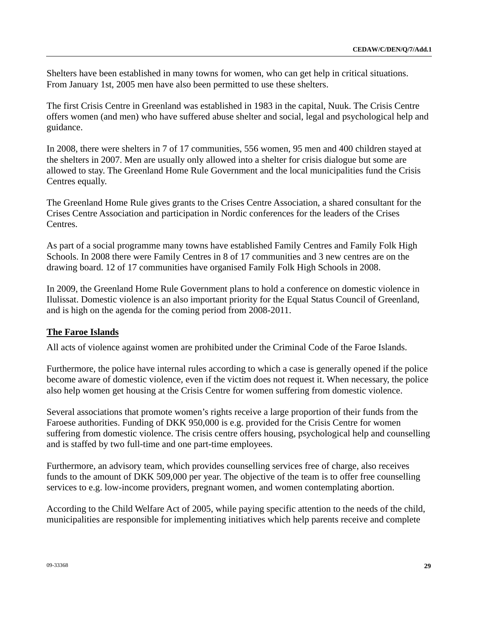Shelters have been established in many towns for women, who can get help in critical situations. From January 1st, 2005 men have also been permitted to use these shelters.

The first Crisis Centre in Greenland was established in 1983 in the capital, Nuuk. The Crisis Centre offers women (and men) who have suffered abuse shelter and social, legal and psychological help and guidance.

In 2008, there were shelters in 7 of 17 communities, 556 women, 95 men and 400 children stayed at the shelters in 2007. Men are usually only allowed into a shelter for crisis dialogue but some are allowed to stay. The Greenland Home Rule Government and the local municipalities fund the Crisis Centres equally.

The Greenland Home Rule gives grants to the Crises Centre Association, a shared consultant for the Crises Centre Association and participation in Nordic conferences for the leaders of the Crises Centres.

As part of a social programme many towns have established Family Centres and Family Folk High Schools. In 2008 there were Family Centres in 8 of 17 communities and 3 new centres are on the drawing board. 12 of 17 communities have organised Family Folk High Schools in 2008.

In 2009, the Greenland Home Rule Government plans to hold a conference on domestic violence in Ilulissat. Domestic violence is an also important priority for the Equal Status Council of Greenland, and is high on the agenda for the coming period from 2008-2011.

## **The Faroe Islands**

All acts of violence against women are prohibited under the Criminal Code of the Faroe Islands.

Furthermore, the police have internal rules according to which a case is generally opened if the police become aware of domestic violence, even if the victim does not request it. When necessary, the police also help women get housing at the Crisis Centre for women suffering from domestic violence.

Several associations that promote women's rights receive a large proportion of their funds from the Faroese authorities. Funding of DKK 950,000 is e.g. provided for the Crisis Centre for women suffering from domestic violence. The crisis centre offers housing, psychological help and counselling and is staffed by two full-time and one part-time employees.

Furthermore, an advisory team, which provides counselling services free of charge, also receives funds to the amount of DKK 509,000 per year. The objective of the team is to offer free counselling services to e.g. low-income providers, pregnant women, and women contemplating abortion.

According to the Child Welfare Act of 2005, while paying specific attention to the needs of the child, municipalities are responsible for implementing initiatives which help parents receive and complete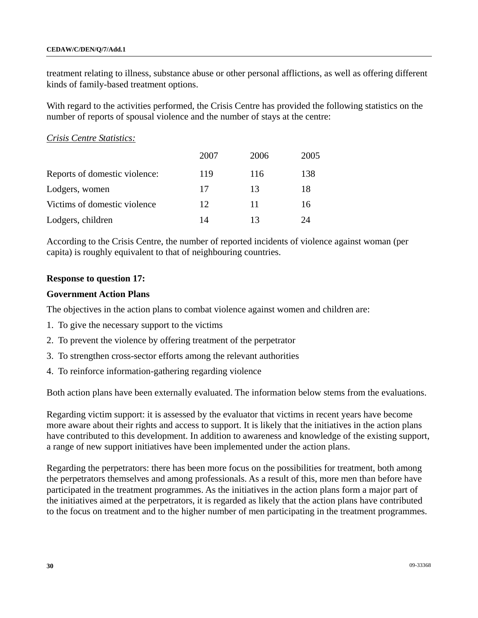treatment relating to illness, substance abuse or other personal afflictions, as well as offering different kinds of family-based treatment options.

With regard to the activities performed, the Crisis Centre has provided the following statistics on the number of reports of spousal violence and the number of stays at the centre:

*Crisis Centre Statistics:*

|                               | 2007 | 2006 | 2005 |
|-------------------------------|------|------|------|
| Reports of domestic violence: | 119  | 116  | 138  |
| Lodgers, women                | 17   | 13   | 18   |
| Victims of domestic violence  | 12   | 11   | 16   |
| Lodgers, children             | 14   | 13   | 24   |

According to the Crisis Centre, the number of reported incidents of violence against woman (per capita) is roughly equivalent to that of neighbouring countries.

## **Response to question 17:**

## **Government Action Plans**

The objectives in the action plans to combat violence against women and children are:

- 1. To give the necessary support to the victims
- 2. To prevent the violence by offering treatment of the perpetrator
- 3. To strengthen cross-sector efforts among the relevant authorities
- 4. To reinforce information-gathering regarding violence

Both action plans have been externally evaluated. The information below stems from the evaluations.

Regarding victim support: it is assessed by the evaluator that victims in recent years have become more aware about their rights and access to support. It is likely that the initiatives in the action plans have contributed to this development. In addition to awareness and knowledge of the existing support, a range of new support initiatives have been implemented under the action plans.

Regarding the perpetrators: there has been more focus on the possibilities for treatment, both among the perpetrators themselves and among professionals. As a result of this, more men than before have participated in the treatment programmes. As the initiatives in the action plans form a major part of the initiatives aimed at the perpetrators, it is regarded as likely that the action plans have contributed to the focus on treatment and to the higher number of men participating in the treatment programmes.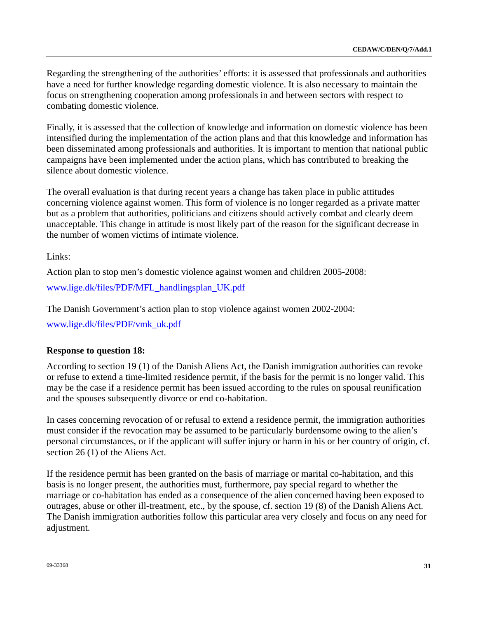Regarding the strengthening of the authorities' efforts: it is assessed that professionals and authorities have a need for further knowledge regarding domestic violence. It is also necessary to maintain the focus on strengthening cooperation among professionals in and between sectors with respect to combating domestic violence.

Finally, it is assessed that the collection of knowledge and information on domestic violence has been intensified during the implementation of the action plans and that this knowledge and information has been disseminated among professionals and authorities. It is important to mention that national public campaigns have been implemented under the action plans, which has contributed to breaking the silence about domestic violence.

The overall evaluation is that during recent years a change has taken place in public attitudes concerning violence against women. This form of violence is no longer regarded as a private matter but as a problem that authorities, politicians and citizens should actively combat and clearly deem unacceptable. This change in attitude is most likely part of the reason for the significant decrease in the number of women victims of intimate violence.

Links:

Action plan to stop men's domestic violence against women and children 2005-2008:

[www.lige.dk/files/PDF/MFL\\_handlingsplan\\_UK.pdf](http://www.lige.dk/files/PDF/MFL_handlingsplan_UK.pdf) 

The Danish Government's action plan to stop violence against women 2002-2004:

[www.lige.dk/files/PDF/vmk\\_uk.pdf](http://www.lige.dk/files/PDF/vmk_uk.pdf)

## **Response to question 18:**

According to section 19 (1) of the Danish Aliens Act, the Danish immigration authorities can revoke or refuse to extend a time-limited residence permit, if the basis for the permit is no longer valid. This may be the case if a residence permit has been issued according to the rules on spousal reunification and the spouses subsequently divorce or end co-habitation.

In cases concerning revocation of or refusal to extend a residence permit, the immigration authorities must consider if the revocation may be assumed to be particularly burdensome owing to the alien's personal circumstances, or if the applicant will suffer injury or harm in his or her country of origin, cf. section 26 (1) of the Aliens Act.

If the residence permit has been granted on the basis of marriage or marital co-habitation, and this basis is no longer present, the authorities must, furthermore, pay special regard to whether the marriage or co-habitation has ended as a consequence of the alien concerned having been exposed to outrages, abuse or other ill-treatment, etc., by the spouse, cf. section 19 (8) of the Danish Aliens Act. The Danish immigration authorities follow this particular area very closely and focus on any need for adjustment.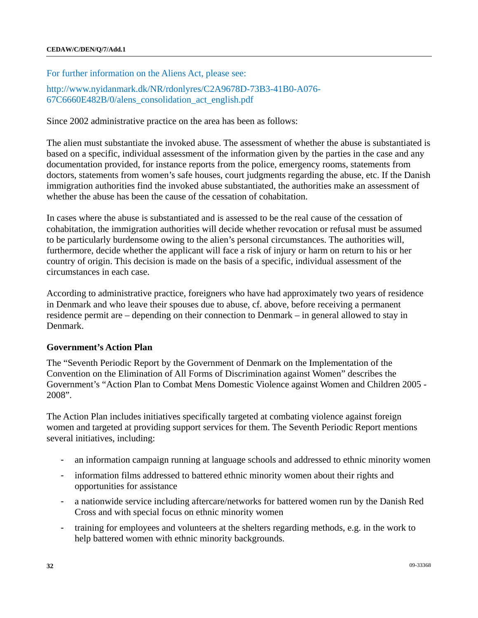For further information on the Aliens Act, please see:

[http://www.nyidanmark.dk/NR/rdonlyres/C2A9678D-73B3-41B0-A076-](http://www.nyidanmark.dk/NR/rdonlyres/C2A9678D-73B3-41B0-A076-67C6660E482B/0/alens_consolidation_act_english.pdf) [67C6660E482B/0/alens\\_consolidation\\_act\\_english.pdf](http://www.nyidanmark.dk/NR/rdonlyres/C2A9678D-73B3-41B0-A076-67C6660E482B/0/alens_consolidation_act_english.pdf) 

Since 2002 administrative practice on the area has been as follows:

The alien must substantiate the invoked abuse. The assessment of whether the abuse is substantiated is based on a specific, individual assessment of the information given by the parties in the case and any documentation provided, for instance reports from the police, emergency rooms, statements from doctors, statements from women's safe houses, court judgments regarding the abuse, etc. If the Danish immigration authorities find the invoked abuse substantiated, the authorities make an assessment of whether the abuse has been the cause of the cessation of cohabitation.

In cases where the abuse is substantiated and is assessed to be the real cause of the cessation of cohabitation, the immigration authorities will decide whether revocation or refusal must be assumed to be particularly burdensome owing to the alien's personal circumstances. The authorities will, furthermore, decide whether the applicant will face a risk of injury or harm on return to his or her country of origin. This decision is made on the basis of a specific, individual assessment of the circumstances in each case.

According to administrative practice, foreigners who have had approximately two years of residence in Denmark and who leave their spouses due to abuse, cf. above, before receiving a permanent residence permit are – depending on their connection to Denmark – in general allowed to stay in Denmark.

## **Government's Action Plan**

The "Seventh Periodic Report by the Government of Denmark on the Implementation of the Convention on the Elimination of All Forms of Discrimination against Women" describes the Government's "Action Plan to Combat Mens Domestic Violence against Women and Children 2005 - 2008".

The Action Plan includes initiatives specifically targeted at combating violence against foreign women and targeted at providing support services for them. The Seventh Periodic Report mentions several initiatives, including:

- an information campaign running at language schools and addressed to ethnic minority women
- information films addressed to battered ethnic minority women about their rights and opportunities for assistance
- a nationwide service including aftercare/networks for battered women run by the Danish Red Cross and with special focus on ethnic minority women
- training for employees and volunteers at the shelters regarding methods, e.g. in the work to help battered women with ethnic minority backgrounds.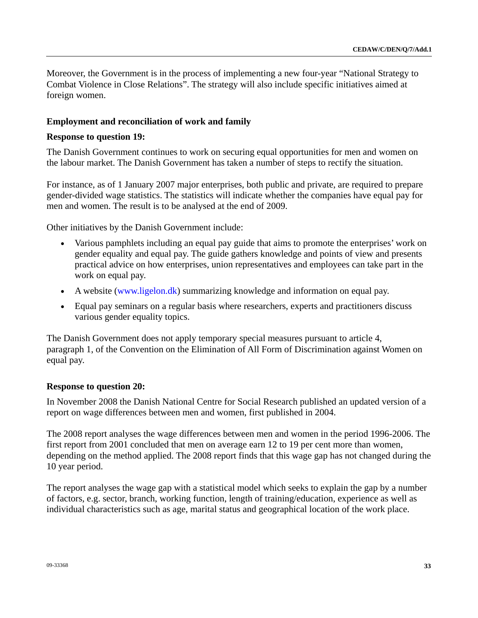Moreover, the Government is in the process of implementing a new four-year "National Strategy to Combat Violence in Close Relations". The strategy will also include specific initiatives aimed at foreign women.

## **Employment and reconciliation of work and family**

#### **Response to question 19:**

The Danish Government continues to work on securing equal opportunities for men and women on the labour market. The Danish Government has taken a number of steps to rectify the situation.

For instance, as of 1 January 2007 major enterprises, both public and private, are required to prepare gender-divided wage statistics. The statistics will indicate whether the companies have equal pay for men and women. The result is to be analysed at the end of 2009.

Other initiatives by the Danish Government include:

- Various pamphlets including an equal pay guide that aims to promote the enterprises' work on gender equality and equal pay. The guide gathers knowledge and points of view and presents practical advice on how enterprises, union representatives and employees can take part in the work on equal pay.
- A website [\(www.ligelon.dk\)](http://www.ligelon.dk/) summarizing knowledge and information on equal pay.
- Equal pay seminars on a regular basis where researchers, experts and practitioners discuss various gender equality topics.

The Danish Government does not apply temporary special measures pursuant to article 4, paragraph 1, of the Convention on the Elimination of All Form of Discrimination against Women on equal pay.

## **Response to question 20:**

In November 2008 the Danish National Centre for Social Research published an updated version of a report on wage differences between men and women, first published in 2004.

The 2008 report analyses the wage differences between men and women in the period 1996-2006. The first report from 2001 concluded that men on average earn 12 to 19 per cent more than women, depending on the method applied. The 2008 report finds that this wage gap has not changed during the 10 year period.

The report analyses the wage gap with a statistical model which seeks to explain the gap by a number of factors, e.g. sector, branch, working function, length of training/education, experience as well as individual characteristics such as age, marital status and geographical location of the work place.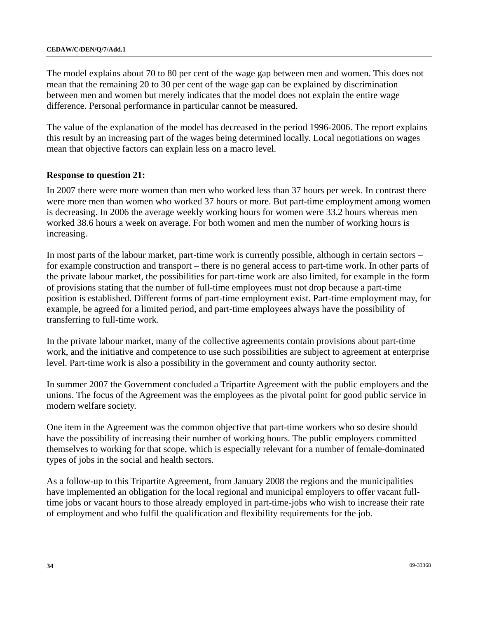The model explains about 70 to 80 per cent of the wage gap between men and women. This does not mean that the remaining 20 to 30 per cent of the wage gap can be explained by discrimination between men and women but merely indicates that the model does not explain the entire wage difference. Personal performance in particular cannot be measured.

The value of the explanation of the model has decreased in the period 1996-2006. The report explains this result by an increasing part of the wages being determined locally. Local negotiations on wages mean that objective factors can explain less on a macro level.

## **Response to question 21:**

In 2007 there were more women than men who worked less than 37 hours per week. In contrast there were more men than women who worked 37 hours or more. But part-time employment among women is decreasing. In 2006 the average weekly working hours for women were 33.2 hours whereas men worked 38.6 hours a week on average. For both women and men the number of working hours is increasing.

In most parts of the labour market, part-time work is currently possible, although in certain sectors – for example construction and transport – there is no general access to part-time work. In other parts of the private labour market, the possibilities for part-time work are also limited, for example in the form of provisions stating that the number of full-time employees must not drop because a part-time position is established. Different forms of part-time employment exist. Part-time employment may, for example, be agreed for a limited period, and part-time employees always have the possibility of transferring to full-time work.

In the private labour market, many of the collective agreements contain provisions about part-time work, and the initiative and competence to use such possibilities are subject to agreement at enterprise level. Part-time work is also a possibility in the government and county authority sector.

In summer 2007 the Government concluded a Tripartite Agreement with the public employers and the unions. The focus of the Agreement was the employees as the pivotal point for good public service in modern welfare society.

One item in the Agreement was the common objective that part-time workers who so desire should have the possibility of increasing their number of working hours. The public employers committed themselves to working for that scope, which is especially relevant for a number of female-dominated types of jobs in the social and health sectors.

As a follow-up to this Tripartite Agreement, from January 2008 the regions and the municipalities have implemented an obligation for the local regional and municipal employers to offer vacant fulltime jobs or vacant hours to those already employed in part-time-jobs who wish to increase their rate of employment and who fulfil the qualification and flexibility requirements for the job.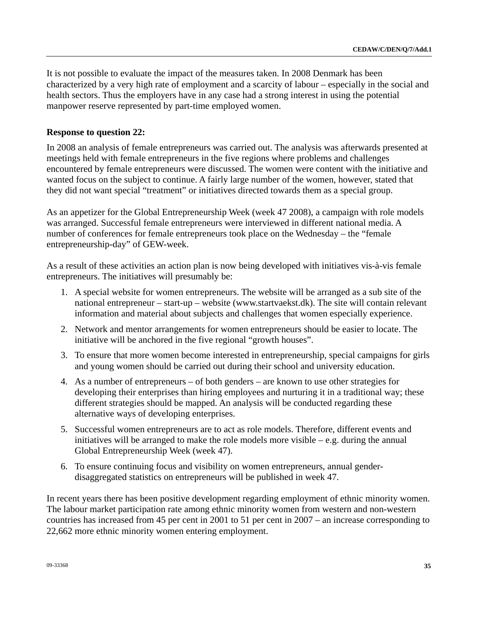It is not possible to evaluate the impact of the measures taken. In 2008 Denmark has been characterized by a very high rate of employment and a scarcity of labour – especially in the social and health sectors. Thus the employers have in any case had a strong interest in using the potential manpower reserve represented by part-time employed women.

## **Response to question 22:**

In 2008 an analysis of female entrepreneurs was carried out. The analysis was afterwards presented at meetings held with female entrepreneurs in the five regions where problems and challenges encountered by female entrepreneurs were discussed. The women were content with the initiative and wanted focus on the subject to continue. A fairly large number of the women, however, stated that they did not want special "treatment" or initiatives directed towards them as a special group.

As an appetizer for the Global Entrepreneurship Week (week 47 2008), a campaign with role models was arranged. Successful female entrepreneurs were interviewed in different national media. A number of conferences for female entrepreneurs took place on the Wednesday – the "female entrepreneurship-day" of GEW-week.

As a result of these activities an action plan is now being developed with initiatives vis-à-vis female entrepreneurs. The initiatives will presumably be:

- 1. A special website for women entrepreneurs. The website will be arranged as a sub site of the national entrepreneur – start-up – website [\(www.startvaekst.dk\)](http://www.startvaekst.dk/). The site will contain relevant information and material about subjects and challenges that women especially experience.
- 2. Network and mentor arrangements for women entrepreneurs should be easier to locate. The initiative will be anchored in the five regional "growth houses".
- 3. To ensure that more women become interested in entrepreneurship, special campaigns for girls and young women should be carried out during their school and university education.
- 4. As a number of entrepreneurs of both genders are known to use other strategies for developing their enterprises than hiring employees and nurturing it in a traditional way; these different strategies should be mapped. An analysis will be conducted regarding these alternative ways of developing enterprises.
- 5. Successful women entrepreneurs are to act as role models. Therefore, different events and initiatives will be arranged to make the role models more visible – e.g. during the annual Global Entrepreneurship Week (week 47).
- 6. To ensure continuing focus and visibility on women entrepreneurs, annual genderdisaggregated statistics on entrepreneurs will be published in week 47.

In recent years there has been positive development regarding employment of ethnic minority women. The labour market participation rate among ethnic minority women from western and non-western countries has increased from 45 per cent in 2001 to 51 per cent in 2007 – an increase corresponding to 22,662 more ethnic minority women entering employment.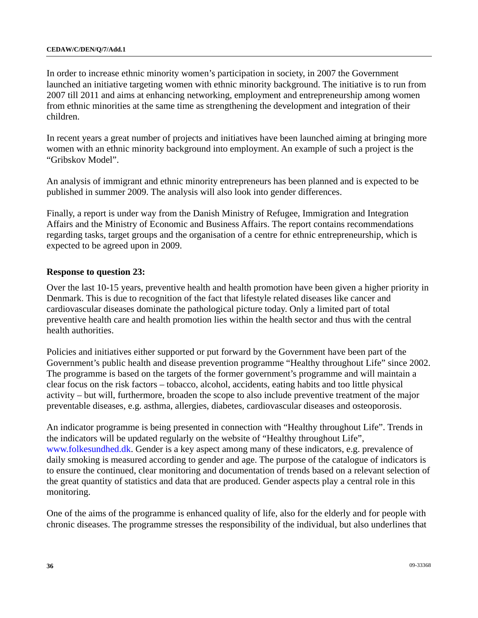In order to increase ethnic minority women's participation in society, in 2007 the Government launched an initiative targeting women with ethnic minority background. The initiative is to run from 2007 till 2011 and aims at enhancing networking, employment and entrepreneurship among women from ethnic minorities at the same time as strengthening the development and integration of their children.

In recent years a great number of projects and initiatives have been launched aiming at bringing more women with an ethnic minority background into employment. An example of such a project is the "Gribskov Model".

An analysis of immigrant and ethnic minority entrepreneurs has been planned and is expected to be published in summer 2009. The analysis will also look into gender differences.

Finally, a report is under way from the Danish Ministry of Refugee, Immigration and Integration Affairs and the Ministry of Economic and Business Affairs. The report contains recommendations regarding tasks, target groups and the organisation of a centre for ethnic entrepreneurship, which is expected to be agreed upon in 2009.

## **Response to question 23:**

Over the last 10-15 years, preventive health and health promotion have been given a higher priority in Denmark. This is due to recognition of the fact that lifestyle related diseases like cancer and cardiovascular diseases dominate the pathological picture today. Only a limited part of total preventive health care and health promotion lies within the health sector and thus with the central health authorities.

Policies and initiatives either supported or put forward by the Government have been part of the Government's public health and disease prevention programme "Healthy throughout Life" since 2002. The programme is based on the targets of the former government's programme and will maintain a clear focus on the risk factors – tobacco, alcohol, accidents, eating habits and too little physical activity – but will, furthermore, broaden the scope to also include preventive treatment of the major preventable diseases, e.g. asthma, allergies, diabetes, cardiovascular diseases and osteoporosis.

An indicator programme is being presented in connection with "Healthy throughout Life". Trends in the indicators will be updated regularly on the website of "Healthy throughout Life", [www.folkesundhed.dk.](http://www.folkesundhed.dk/) Gender is a key aspect among many of these indicators, e.g. prevalence of daily smoking is measured according to gender and age. The purpose of the catalogue of indicators is to ensure the continued, clear monitoring and documentation of trends based on a relevant selection of the great quantity of statistics and data that are produced. Gender aspects play a central role in this monitoring.

One of the aims of the programme is enhanced quality of life, also for the elderly and for people with chronic diseases. The programme stresses the responsibility of the individual, but also underlines that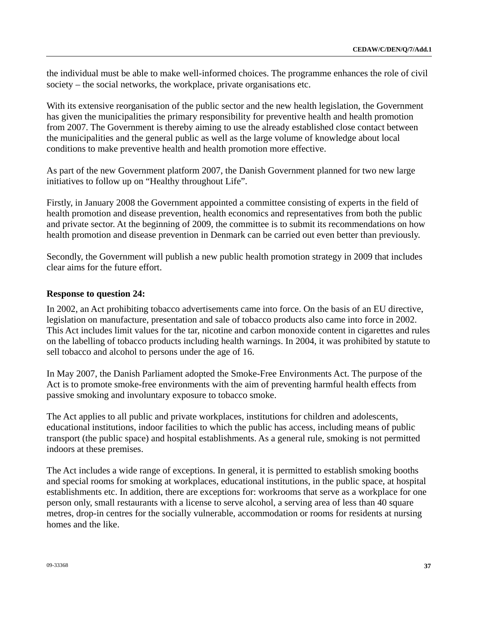the individual must be able to make well-informed choices. The programme enhances the role of civil society – the social networks, the workplace, private organisations etc.

With its extensive reorganisation of the public sector and the new health legislation, the Government has given the municipalities the primary responsibility for preventive health and health promotion from 2007. The Government is thereby aiming to use the already established close contact between the municipalities and the general public as well as the large volume of knowledge about local conditions to make preventive health and health promotion more effective.

As part of the new Government platform 2007, the Danish Government planned for two new large initiatives to follow up on "Healthy throughout Life".

Firstly, in January 2008 the Government appointed a committee consisting of experts in the field of health promotion and disease prevention, health economics and representatives from both the public and private sector. At the beginning of 2009, the committee is to submit its recommendations on how health promotion and disease prevention in Denmark can be carried out even better than previously.

Secondly, the Government will publish a new public health promotion strategy in 2009 that includes clear aims for the future effort.

#### **Response to question 24:**

In 2002, an Act prohibiting tobacco advertisements came into force. On the basis of an EU directive, legislation on manufacture, presentation and sale of tobacco products also came into force in 2002. This Act includes limit values for the tar, nicotine and carbon monoxide content in cigarettes and rules on the labelling of tobacco products including health warnings. In 2004, it was prohibited by statute to sell tobacco and alcohol to persons under the age of 16.

In May 2007, the Danish Parliament adopted the Smoke-Free Environments Act. The purpose of the Act is to promote smoke-free environments with the aim of preventing harmful health effects from passive smoking and involuntary exposure to tobacco smoke.

The Act applies to all public and private workplaces, institutions for children and adolescents, educational institutions, indoor facilities to which the public has access, including means of public transport (the public space) and hospital establishments. As a general rule, smoking is not permitted indoors at these premises.

The Act includes a wide range of exceptions. In general, it is permitted to establish smoking booths and special rooms for smoking at workplaces, educational institutions, in the public space, at hospital establishments etc. In addition, there are exceptions for: workrooms that serve as a workplace for one person only, small restaurants with a license to serve alcohol, a serving area of less than 40 square metres, drop-in centres for the socially vulnerable, accommodation or rooms for residents at nursing homes and the like.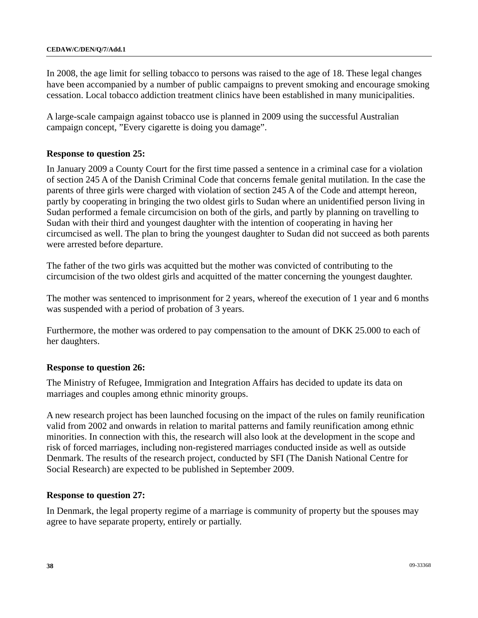In 2008, the age limit for selling tobacco to persons was raised to the age of 18. These legal changes have been accompanied by a number of public campaigns to prevent smoking and encourage smoking cessation. Local tobacco addiction treatment clinics have been established in many municipalities.

A large-scale campaign against tobacco use is planned in 2009 using the successful Australian campaign concept, "Every cigarette is doing you damage".

## **Response to question 25:**

In January 2009 a County Court for the first time passed a sentence in a criminal case for a violation of section 245 A of the Danish Criminal Code that concerns female genital mutilation. In the case the parents of three girls were charged with violation of section 245 A of the Code and attempt hereon, partly by cooperating in bringing the two oldest girls to Sudan where an unidentified person living in Sudan performed a female circumcision on both of the girls, and partly by planning on travelling to Sudan with their third and youngest daughter with the intention of cooperating in having her circumcised as well. The plan to bring the youngest daughter to Sudan did not succeed as both parents were arrested before departure.

The father of the two girls was acquitted but the mother was convicted of contributing to the circumcision of the two oldest girls and acquitted of the matter concerning the youngest daughter.

The mother was sentenced to imprisonment for 2 years, whereof the execution of 1 year and 6 months was suspended with a period of probation of 3 years.

Furthermore, the mother was ordered to pay compensation to the amount of DKK 25.000 to each of her daughters.

## **Response to question 26:**

The Ministry of Refugee, Immigration and Integration Affairs has decided to update its data on marriages and couples among ethnic minority groups.

A new research project has been launched focusing on the impact of the rules on family reunification valid from 2002 and onwards in relation to marital patterns and family reunification among ethnic minorities. In connection with this, the research will also look at the development in the scope and risk of forced marriages, including non-registered marriages conducted inside as well as outside Denmark. The results of the research project, conducted by SFI (The Danish National Centre for Social Research) are expected to be published in September 2009.

#### **Response to question 27:**

In Denmark, the legal property regime of a marriage is community of property but the spouses may agree to have separate property, entirely or partially.